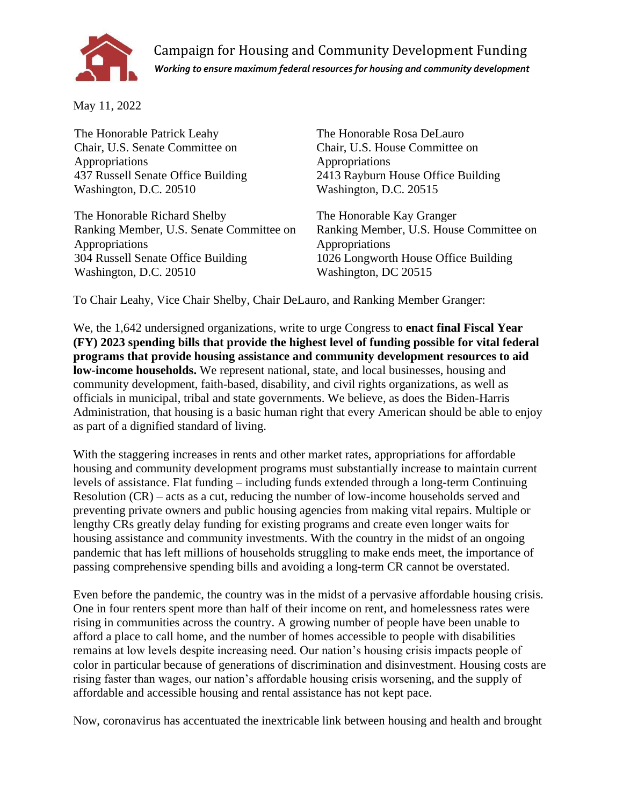

Campaign for Housing and Community Development Funding *Working to ensure maximum federal resources for housing and community development*

May 11, 2022

The Honorable Patrick Leahy Chair, U.S. Senate Committee on Appropriations 437 Russell Senate Office Building Washington, D.C. 20510

The Honorable Richard Shelby Ranking Member, U.S. Senate Committee on Appropriations 304 Russell Senate Office Building Washington, D.C. 20510

The Honorable Rosa DeLauro Chair, U.S. House Committee on Appropriations 2413 Rayburn House Office Building Washington, D.C. 20515

The Honorable Kay Granger Ranking Member, U.S. House Committee on Appropriations 1026 Longworth House Office Building Washington, DC 20515

To Chair Leahy, Vice Chair Shelby, Chair DeLauro, and Ranking Member Granger:

We, the 1,642 undersigned organizations, write to urge Congress to **enact final Fiscal Year (FY) 2023 spending bills that provide the highest level of funding possible for vital federal programs that provide housing assistance and community development resources to aid low-income households.** We represent national, state, and local businesses, housing and community development, faith-based, disability, and civil rights organizations, as well as officials in municipal, tribal and state governments. We believe, as does the Biden-Harris Administration, that housing is a basic human right that every American should be able to enjoy as part of a dignified standard of living.

With the staggering increases in rents and other market rates, appropriations for affordable housing and community development programs must substantially increase to maintain current levels of assistance. Flat funding – including funds extended through a long-term Continuing Resolution (CR) – acts as a cut, reducing the number of low-income households served and preventing private owners and public housing agencies from making vital repairs. Multiple or lengthy CRs greatly delay funding for existing programs and create even longer waits for housing assistance and community investments. With the country in the midst of an ongoing pandemic that has left millions of households struggling to make ends meet, the importance of passing comprehensive spending bills and avoiding a long-term CR cannot be overstated.

Even before the pandemic, the country was in the midst of a pervasive affordable housing crisis. One in four renters spent more than half of their income on rent, and homelessness rates were rising in communities across the country. A growing number of people have been unable to afford a place to call home, and the number of homes accessible to people with disabilities remains at low levels despite increasing need. Our nation's housing crisis impacts people of color in particular because of generations of discrimination and disinvestment. Housing costs are rising faster than wages, our nation's affordable housing crisis worsening, and the supply of affordable and accessible housing and rental assistance has not kept pace.

Now, coronavirus has accentuated the inextricable link between housing and health and brought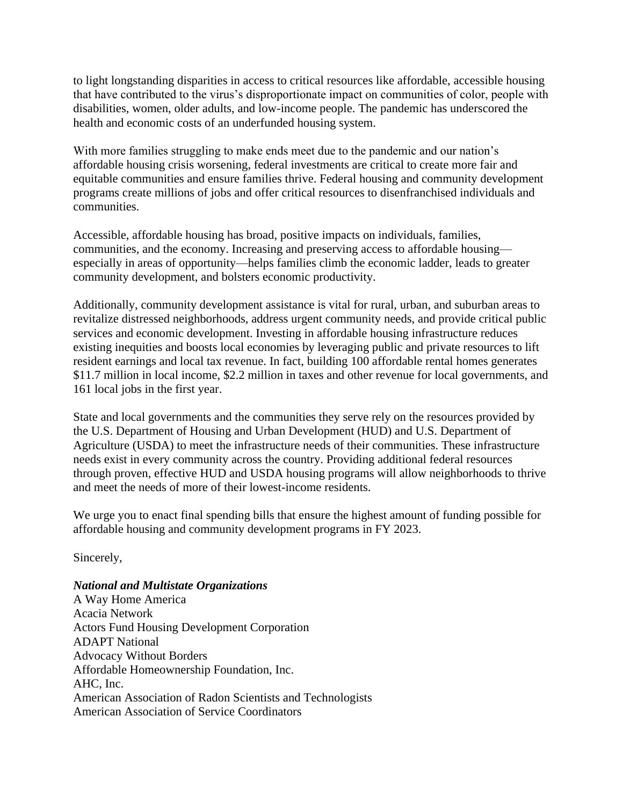to light longstanding disparities in access to critical resources like affordable, accessible housing that have contributed to the virus's disproportionate impact on communities of color, people with disabilities, women, older adults, and low-income people. The pandemic has underscored the health and economic costs of an underfunded housing system.

With more families struggling to make ends meet due to the pandemic and our nation's affordable housing crisis worsening, federal investments are critical to create more fair and equitable communities and ensure families thrive. Federal housing and community development programs create millions of jobs and offer critical resources to disenfranchised individuals and communities.

Accessible, affordable housing has broad, positive impacts on individuals, families, communities, and the economy. Increasing and preserving access to affordable housing especially in areas of opportunity—helps families climb the economic ladder, leads to greater community development, and bolsters economic productivity.

Additionally, community development assistance is vital for rural, urban, and suburban areas to revitalize distressed neighborhoods, address urgent community needs, and provide critical public services and economic development. Investing in affordable housing infrastructure reduces existing inequities and boosts local economies by leveraging public and private resources to lift resident earnings and local tax revenue. In fact, building 100 affordable rental homes generates \$11.7 million in local income, \$2.2 million in taxes and other revenue for local governments, and 161 local jobs in the first year.

State and local governments and the communities they serve rely on the resources provided by the U.S. Department of Housing and Urban Development (HUD) and U.S. Department of Agriculture (USDA) to meet the infrastructure needs of their communities. These infrastructure needs exist in every community across the country. Providing additional federal resources through proven, effective HUD and USDA housing programs will allow neighborhoods to thrive and meet the needs of more of their lowest-income residents.

We urge you to enact final spending bills that ensure the highest amount of funding possible for affordable housing and community development programs in FY 2023.

Sincerely,

# *National and Multistate Organizations*

A Way Home America Acacia Network Actors Fund Housing Development Corporation ADAPT National Advocacy Without Borders Affordable Homeownership Foundation, Inc. AHC, Inc. American Association of Radon Scientists and Technologists American Association of Service Coordinators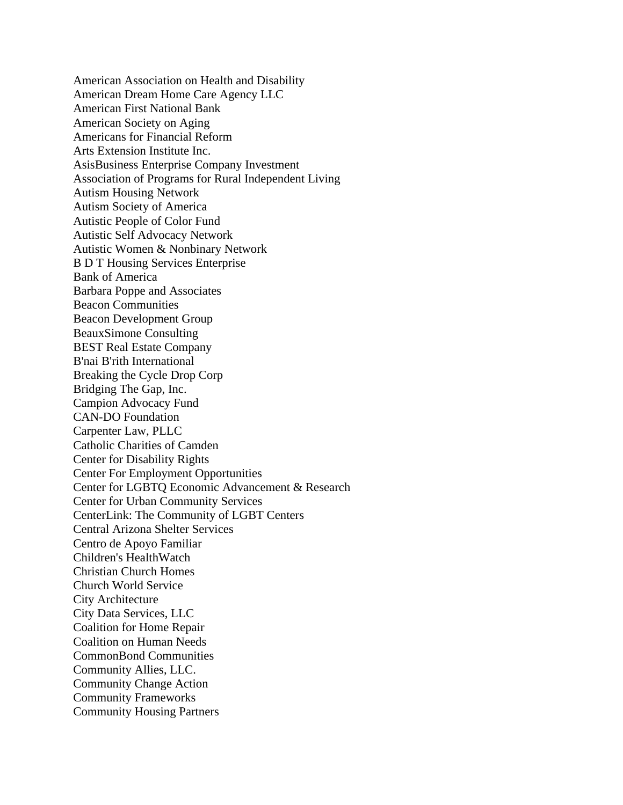American Association on Health and Disability American Dream Home Care Agency LLC American First National Bank American Society on Aging Americans for Financial Reform Arts Extension Institute Inc. AsisBusiness Enterprise Company Investment Association of Programs for Rural Independent Living Autism Housing Network Autism Society of America Autistic People of Color Fund Autistic Self Advocacy Network Autistic Women & Nonbinary Network B D T Housing Services Enterprise Bank of America Barbara Poppe and Associates Beacon Communities Beacon Development Group BeauxSimone Consulting BEST Real Estate Company B'nai B'rith International Breaking the Cycle Drop Corp Bridging The Gap, Inc. Campion Advocacy Fund CAN-DO Foundation Carpenter Law, PLLC Catholic Charities of Camden Center for Disability Rights Center For Employment Opportunities Center for LGBTQ Economic Advancement & Research Center for Urban Community Services CenterLink: The Community of LGBT Centers Central Arizona Shelter Services Centro de Apoyo Familiar Children's HealthWatch Christian Church Homes Church World Service City Architecture City Data Services, LLC Coalition for Home Repair Coalition on Human Needs CommonBond Communities Community Allies, LLC. Community Change Action Community Frameworks Community Housing Partners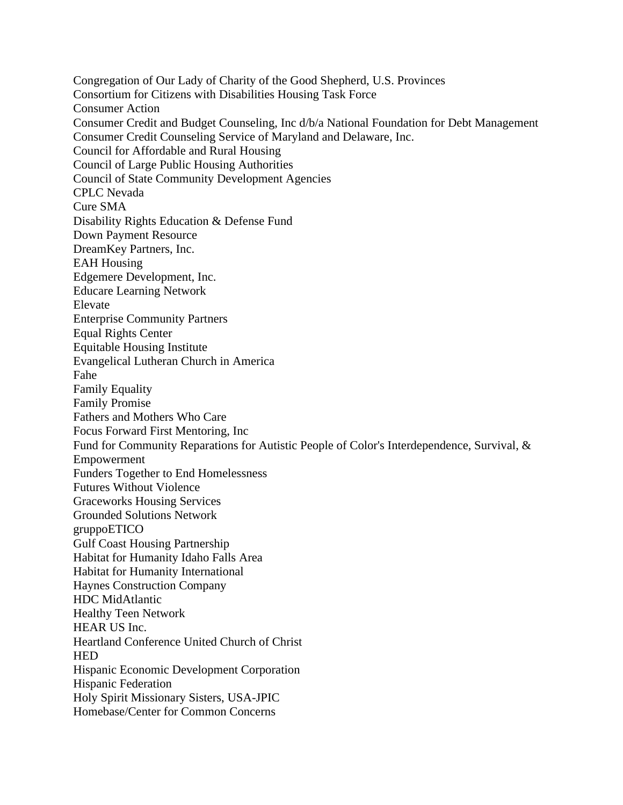Congregation of Our Lady of Charity of the Good Shepherd, U.S. Provinces Consortium for Citizens with Disabilities Housing Task Force Consumer Action Consumer Credit and Budget Counseling, Inc d/b/a National Foundation for Debt Management Consumer Credit Counseling Service of Maryland and Delaware, Inc. Council for Affordable and Rural Housing Council of Large Public Housing Authorities Council of State Community Development Agencies CPLC Nevada Cure SMA Disability Rights Education & Defense Fund Down Payment Resource DreamKey Partners, Inc. EAH Housing Edgemere Development, Inc. Educare Learning Network Elevate Enterprise Community Partners Equal Rights Center Equitable Housing Institute Evangelical Lutheran Church in America Fahe Family Equality Family Promise Fathers and Mothers Who Care Focus Forward First Mentoring, Inc Fund for Community Reparations for Autistic People of Color's Interdependence, Survival, & Empowerment Funders Together to End Homelessness Futures Without Violence Graceworks Housing Services Grounded Solutions Network gruppoETICO Gulf Coast Housing Partnership Habitat for Humanity Idaho Falls Area Habitat for Humanity International Haynes Construction Company HDC MidAtlantic Healthy Teen Network HEAR US Inc. Heartland Conference United Church of Christ **HED** Hispanic Economic Development Corporation Hispanic Federation Holy Spirit Missionary Sisters, USA-JPIC Homebase/Center for Common Concerns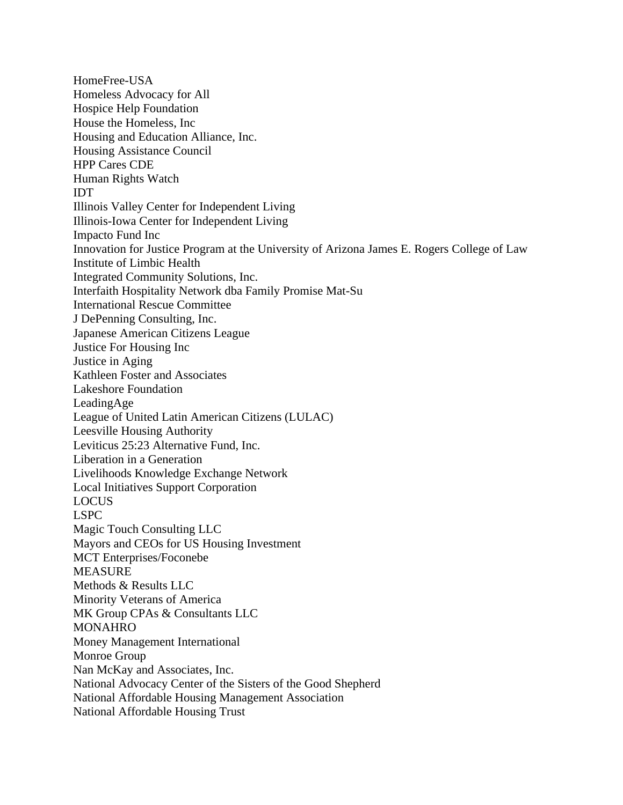HomeFree-USA Homeless Advocacy for All Hospice Help Foundation House the Homeless, Inc Housing and Education Alliance, Inc. Housing Assistance Council HPP Cares CDE Human Rights Watch IDT Illinois Valley Center for Independent Living Illinois-Iowa Center for Independent Living Impacto Fund Inc Innovation for Justice Program at the University of Arizona James E. Rogers College of Law Institute of Limbic Health Integrated Community Solutions, Inc. Interfaith Hospitality Network dba Family Promise Mat-Su International Rescue Committee J DePenning Consulting, Inc. Japanese American Citizens League Justice For Housing Inc Justice in Aging Kathleen Foster and Associates Lakeshore Foundation LeadingAge League of United Latin American Citizens (LULAC) Leesville Housing Authority Leviticus 25:23 Alternative Fund, Inc. Liberation in a Generation Livelihoods Knowledge Exchange Network Local Initiatives Support Corporation LOCUS LSPC Magic Touch Consulting LLC Mayors and CEOs for US Housing Investment MCT Enterprises/Foconebe MEASURE Methods & Results LLC Minority Veterans of America MK Group CPAs & Consultants LLC MONAHRO Money Management International Monroe Group Nan McKay and Associates, Inc. National Advocacy Center of the Sisters of the Good Shepherd National Affordable Housing Management Association National Affordable Housing Trust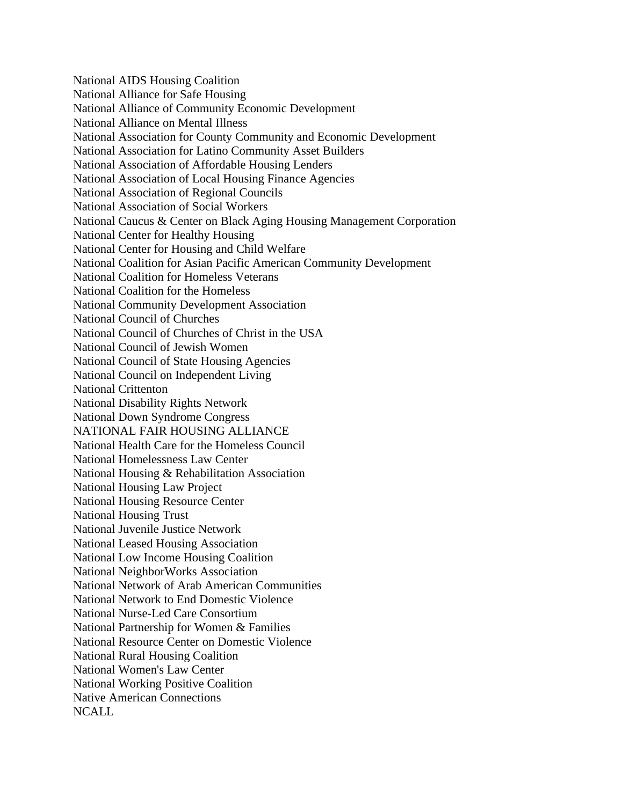National AIDS Housing Coalition National Alliance for Safe Housing National Alliance of Community Economic Development National Alliance on Mental Illness National Association for County Community and Economic Development National Association for Latino Community Asset Builders National Association of Affordable Housing Lenders National Association of Local Housing Finance Agencies National Association of Regional Councils National Association of Social Workers National Caucus & Center on Black Aging Housing Management Corporation National Center for Healthy Housing National Center for Housing and Child Welfare National Coalition for Asian Pacific American Community Development National Coalition for Homeless Veterans National Coalition for the Homeless National Community Development Association National Council of Churches National Council of Churches of Christ in the USA National Council of Jewish Women National Council of State Housing Agencies National Council on Independent Living National Crittenton National Disability Rights Network National Down Syndrome Congress NATIONAL FAIR HOUSING ALLIANCE National Health Care for the Homeless Council National Homelessness Law Center National Housing & Rehabilitation Association National Housing Law Project National Housing Resource Center National Housing Trust National Juvenile Justice Network National Leased Housing Association National Low Income Housing Coalition National NeighborWorks Association National Network of Arab American Communities National Network to End Domestic Violence National Nurse-Led Care Consortium National Partnership for Women & Families National Resource Center on Domestic Violence National Rural Housing Coalition National Women's Law Center National Working Positive Coalition Native American Connections NCALL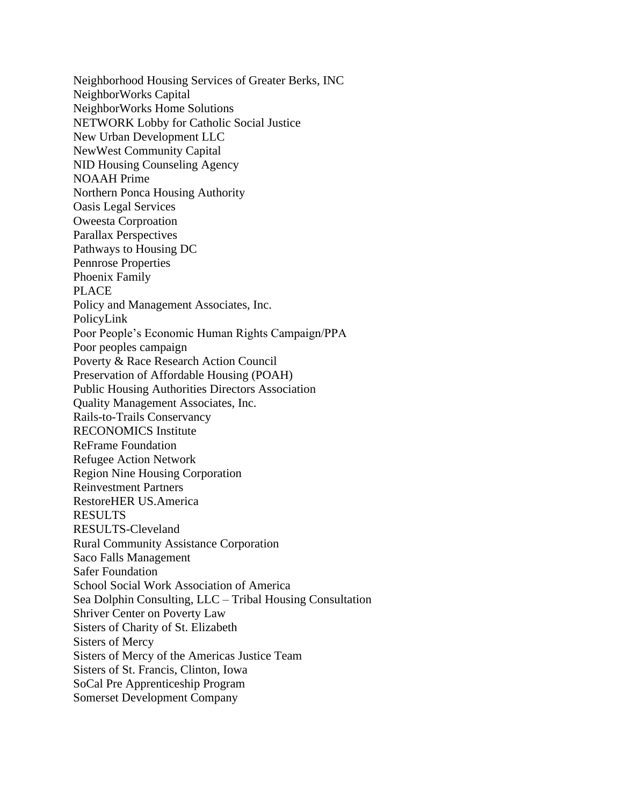Neighborhood Housing Services of Greater Berks, INC NeighborWorks Capital NeighborWorks Home Solutions NETWORK Lobby for Catholic Social Justice New Urban Development LLC NewWest Community Capital NID Housing Counseling Agency NOAAH Prime Northern Ponca Housing Authority Oasis Legal Services Oweesta Corproation Parallax Perspectives Pathways to Housing DC Pennrose Properties Phoenix Family PLACE Policy and Management Associates, Inc. PolicyLink Poor People's Economic Human Rights Campaign/PPA Poor peoples campaign Poverty & Race Research Action Council Preservation of Affordable Housing (POAH) Public Housing Authorities Directors Association Quality Management Associates, Inc. Rails-to-Trails Conservancy RECONOMICS Institute ReFrame Foundation Refugee Action Network Region Nine Housing Corporation Reinvestment Partners RestoreHER US.America **RESULTS** RESULTS-Cleveland Rural Community Assistance Corporation Saco Falls Management Safer Foundation School Social Work Association of America Sea Dolphin Consulting, LLC – Tribal Housing Consultation Shriver Center on Poverty Law Sisters of Charity of St. Elizabeth Sisters of Mercy Sisters of Mercy of the Americas Justice Team Sisters of St. Francis, Clinton, Iowa SoCal Pre Apprenticeship Program Somerset Development Company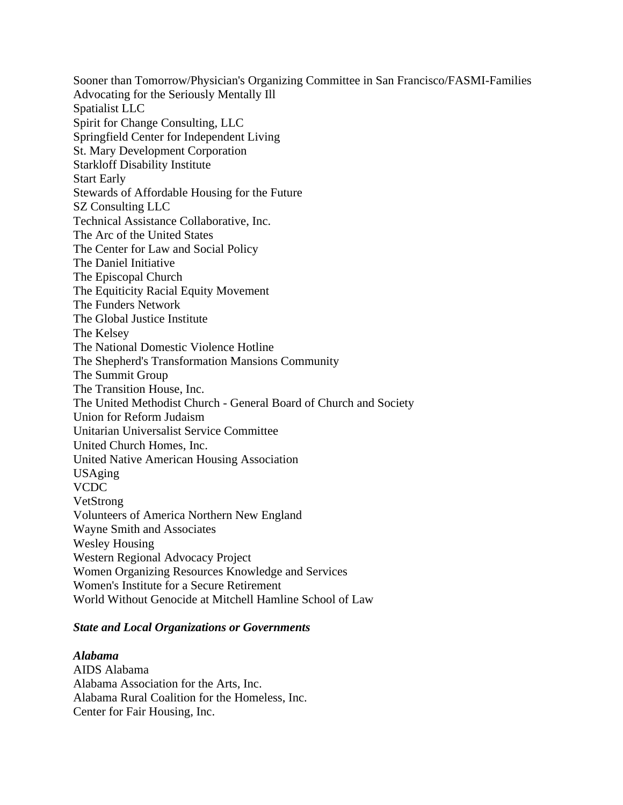Sooner than Tomorrow/Physician's Organizing Committee in San Francisco/FASMI-Families Advocating for the Seriously Mentally Ill Spatialist LLC Spirit for Change Consulting, LLC Springfield Center for Independent Living St. Mary Development Corporation Starkloff Disability Institute Start Early Stewards of Affordable Housing for the Future SZ Consulting LLC Technical Assistance Collaborative, Inc. The Arc of the United States The Center for Law and Social Policy The Daniel Initiative The Episcopal Church The Equiticity Racial Equity Movement The Funders Network The Global Justice Institute The Kelsey The National Domestic Violence Hotline The Shepherd's Transformation Mansions Community The Summit Group The Transition House, Inc. The United Methodist Church - General Board of Church and Society Union for Reform Judaism Unitarian Universalist Service Committee United Church Homes, Inc. United Native American Housing Association USAging VCDC VetStrong Volunteers of America Northern New England Wayne Smith and Associates Wesley Housing Western Regional Advocacy Project Women Organizing Resources Knowledge and Services Women's Institute for a Secure Retirement World Without Genocide at Mitchell Hamline School of Law

# *State and Local Organizations or Governments*

*Alabama*

AIDS Alabama Alabama Association for the Arts, Inc. Alabama Rural Coalition for the Homeless, Inc. Center for Fair Housing, Inc.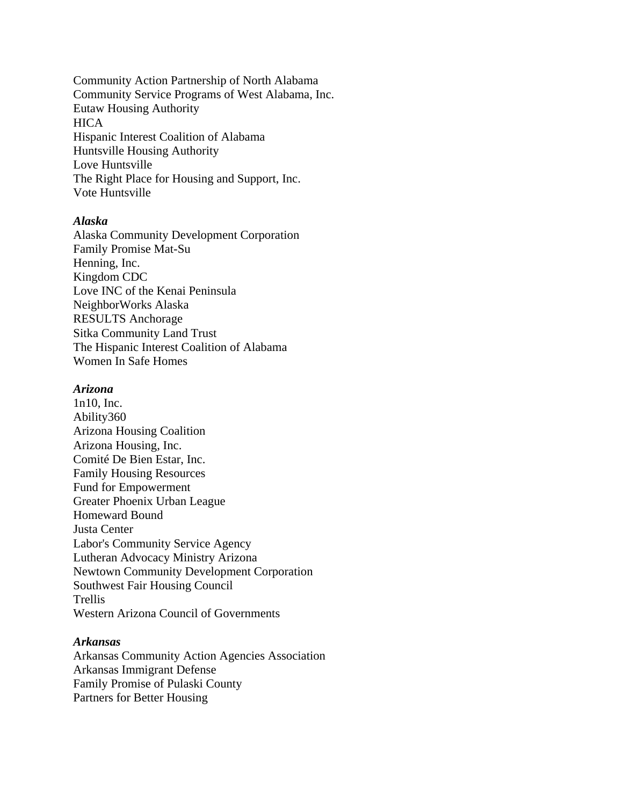Community Action Partnership of North Alabama Community Service Programs of West Alabama, Inc. Eutaw Housing Authority **HICA** Hispanic Interest Coalition of Alabama Huntsville Housing Authority Love Huntsville The Right Place for Housing and Support, Inc. Vote Huntsville

#### *Alaska*

Alaska Community Development Corporation Family Promise Mat-Su Henning, Inc. Kingdom CDC Love INC of the Kenai Peninsula NeighborWorks Alaska RESULTS Anchorage Sitka Community Land Trust The Hispanic Interest Coalition of Alabama Women In Safe Homes

#### *Arizona*

1n10, Inc. Ability360 Arizona Housing Coalition Arizona Housing, Inc. Comité De Bien Estar, Inc. Family Housing Resources Fund for Empowerment Greater Phoenix Urban League Homeward Bound Justa Center Labor's Community Service Agency Lutheran Advocacy Ministry Arizona Newtown Community Development Corporation Southwest Fair Housing Council Trellis Western Arizona Council of Governments

#### *Arkansas*

Arkansas Community Action Agencies Association Arkansas Immigrant Defense Family Promise of Pulaski County Partners for Better Housing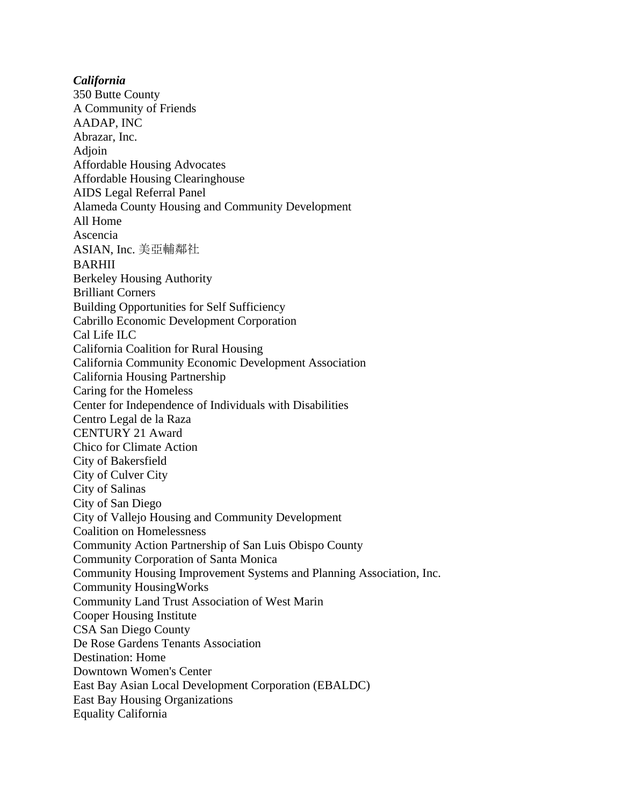*California* 350 Butte County A Community of Friends AADAP, INC Abrazar, Inc. Adjoin Affordable Housing Advocates Affordable Housing Clearinghouse AIDS Legal Referral Panel Alameda County Housing and Community Development All Home Ascencia ASIAN, Inc. 美亞輔鄰社 BARHII Berkeley Housing Authority Brilliant Corners Building Opportunities for Self Sufficiency Cabrillo Economic Development Corporation Cal Life ILC California Coalition for Rural Housing California Community Economic Development Association California Housing Partnership Caring for the Homeless Center for Independence of Individuals with Disabilities Centro Legal de la Raza CENTURY 21 Award Chico for Climate Action City of Bakersfield City of Culver City City of Salinas City of San Diego City of Vallejo Housing and Community Development Coalition on Homelessness Community Action Partnership of San Luis Obispo County Community Corporation of Santa Monica Community Housing Improvement Systems and Planning Association, Inc. Community HousingWorks Community Land Trust Association of West Marin Cooper Housing Institute CSA San Diego County De Rose Gardens Tenants Association Destination: Home Downtown Women's Center East Bay Asian Local Development Corporation (EBALDC) East Bay Housing Organizations Equality California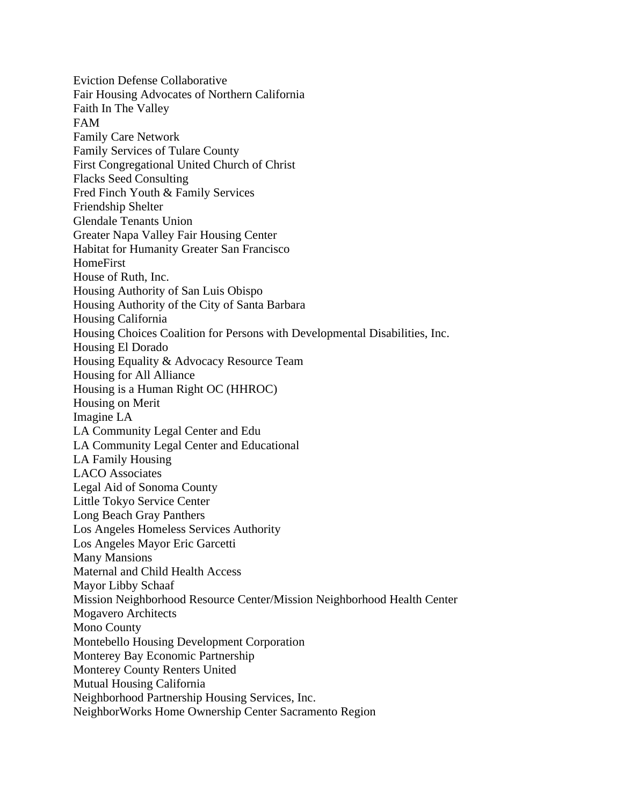Eviction Defense Collaborative Fair Housing Advocates of Northern California Faith In The Valley FAM Family Care Network Family Services of Tulare County First Congregational United Church of Christ Flacks Seed Consulting Fred Finch Youth & Family Services Friendship Shelter Glendale Tenants Union Greater Napa Valley Fair Housing Center Habitat for Humanity Greater San Francisco HomeFirst House of Ruth, Inc. Housing Authority of San Luis Obispo Housing Authority of the City of Santa Barbara Housing California Housing Choices Coalition for Persons with Developmental Disabilities, Inc. Housing El Dorado Housing Equality & Advocacy Resource Team Housing for All Alliance Housing is a Human Right OC (HHROC) Housing on Merit Imagine LA LA Community Legal Center and Edu LA Community Legal Center and Educational LA Family Housing LACO Associates Legal Aid of Sonoma County Little Tokyo Service Center Long Beach Gray Panthers Los Angeles Homeless Services Authority Los Angeles Mayor Eric Garcetti Many Mansions Maternal and Child Health Access Mayor Libby Schaaf Mission Neighborhood Resource Center/Mission Neighborhood Health Center Mogavero Architects Mono County Montebello Housing Development Corporation Monterey Bay Economic Partnership Monterey County Renters United Mutual Housing California Neighborhood Partnership Housing Services, Inc. NeighborWorks Home Ownership Center Sacramento Region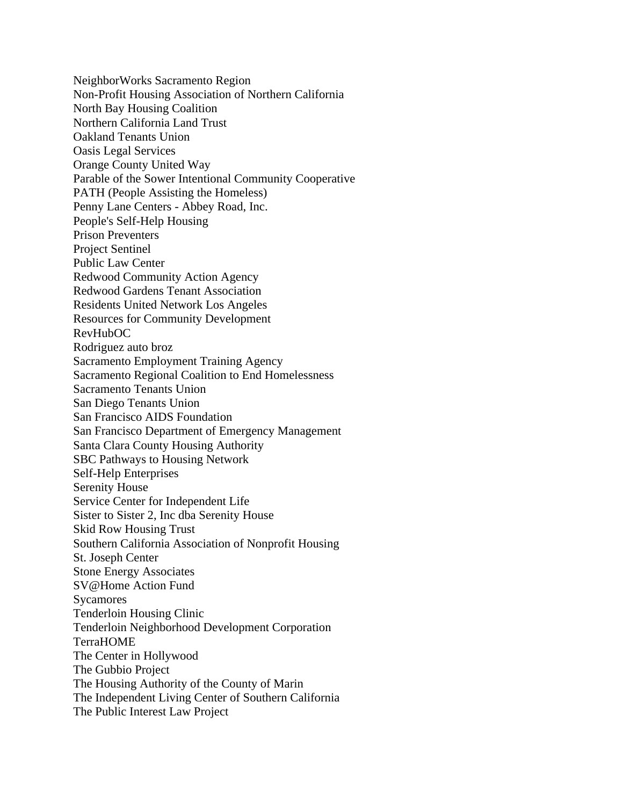NeighborWorks Sacramento Region Non-Profit Housing Association of Northern California North Bay Housing Coalition Northern California Land Trust Oakland Tenants Union Oasis Legal Services Orange County United Way Parable of the Sower Intentional Community Cooperative PATH (People Assisting the Homeless) Penny Lane Centers - Abbey Road, Inc. People's Self-Help Housing Prison Preventers Project Sentinel Public Law Center Redwood Community Action Agency Redwood Gardens Tenant Association Residents United Network Los Angeles Resources for Community Development RevHubOC Rodriguez auto broz Sacramento Employment Training Agency Sacramento Regional Coalition to End Homelessness Sacramento Tenants Union San Diego Tenants Union San Francisco AIDS Foundation San Francisco Department of Emergency Management Santa Clara County Housing Authority SBC Pathways to Housing Network Self-Help Enterprises Serenity House Service Center for Independent Life Sister to Sister 2, Inc dba Serenity House Skid Row Housing Trust Southern California Association of Nonprofit Housing St. Joseph Center Stone Energy Associates SV@Home Action Fund Sycamores Tenderloin Housing Clinic Tenderloin Neighborhood Development Corporation TerraHOME The Center in Hollywood The Gubbio Project The Housing Authority of the County of Marin The Independent Living Center of Southern California The Public Interest Law Project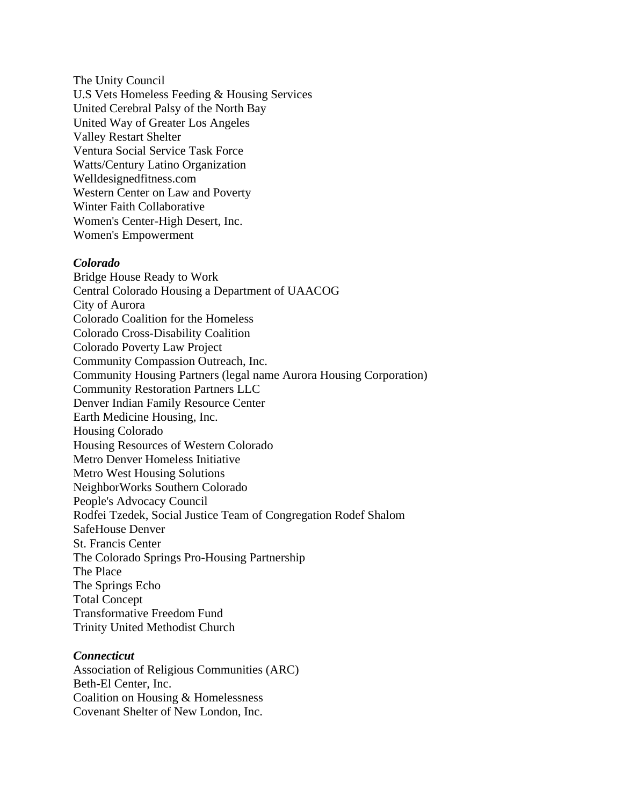The Unity Council U.S Vets Homeless Feeding & Housing Services United Cerebral Palsy of the North Bay United Way of Greater Los Angeles Valley Restart Shelter Ventura Social Service Task Force Watts/Century Latino Organization Welldesignedfitness.com Western Center on Law and Poverty Winter Faith Collaborative Women's Center-High Desert, Inc. Women's Empowerment

#### *Colorado*

Bridge House Ready to Work Central Colorado Housing a Department of UAACOG City of Aurora Colorado Coalition for the Homeless Colorado Cross-Disability Coalition Colorado Poverty Law Project Community Compassion Outreach, Inc. Community Housing Partners (legal name Aurora Housing Corporation) Community Restoration Partners LLC Denver Indian Family Resource Center Earth Medicine Housing, Inc. Housing Colorado Housing Resources of Western Colorado Metro Denver Homeless Initiative Metro West Housing Solutions NeighborWorks Southern Colorado People's Advocacy Council Rodfei Tzedek, Social Justice Team of Congregation Rodef Shalom SafeHouse Denver St. Francis Center The Colorado Springs Pro-Housing Partnership The Place The Springs Echo Total Concept Transformative Freedom Fund Trinity United Methodist Church

#### *Connecticut*

Association of Religious Communities (ARC) Beth-El Center, Inc. Coalition on Housing & Homelessness Covenant Shelter of New London, Inc.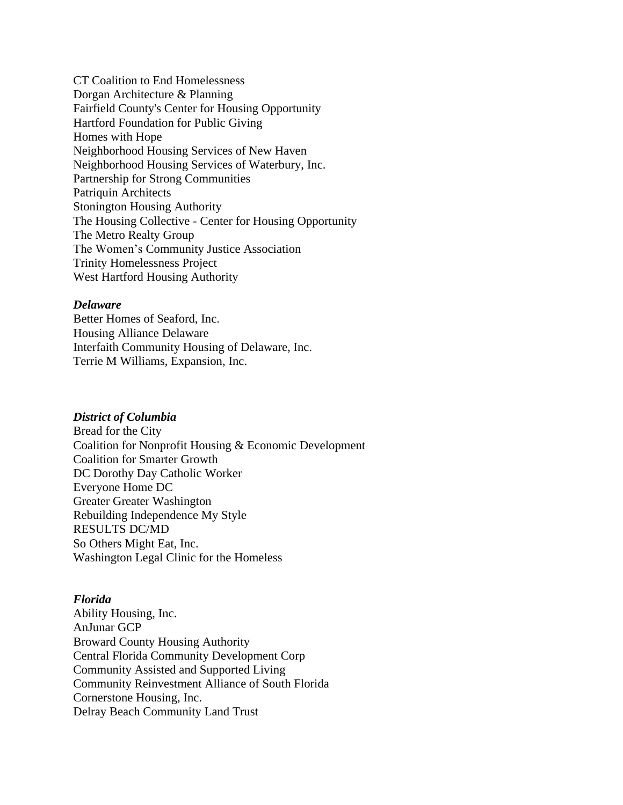CT Coalition to End Homelessness Dorgan Architecture & Planning Fairfield County's Center for Housing Opportunity Hartford Foundation for Public Giving Homes with Hope Neighborhood Housing Services of New Haven Neighborhood Housing Services of Waterbury, Inc. Partnership for Strong Communities Patriquin Architects Stonington Housing Authority The Housing Collective - Center for Housing Opportunity The Metro Realty Group The Women's Community Justice Association Trinity Homelessness Project West Hartford Housing Authority

# *Delaware*

Better Homes of Seaford, Inc. Housing Alliance Delaware Interfaith Community Housing of Delaware, Inc. Terrie M Williams, Expansion, Inc.

#### *District of Columbia*

Bread for the City Coalition for Nonprofit Housing & Economic Development Coalition for Smarter Growth DC Dorothy Day Catholic Worker Everyone Home DC Greater Greater Washington Rebuilding Independence My Style RESULTS DC/MD So Others Might Eat, Inc. Washington Legal Clinic for the Homeless

# *Florida*

Ability Housing, Inc. AnJunar GCP Broward County Housing Authority Central Florida Community Development Corp Community Assisted and Supported Living Community Reinvestment Alliance of South Florida Cornerstone Housing, Inc. Delray Beach Community Land Trust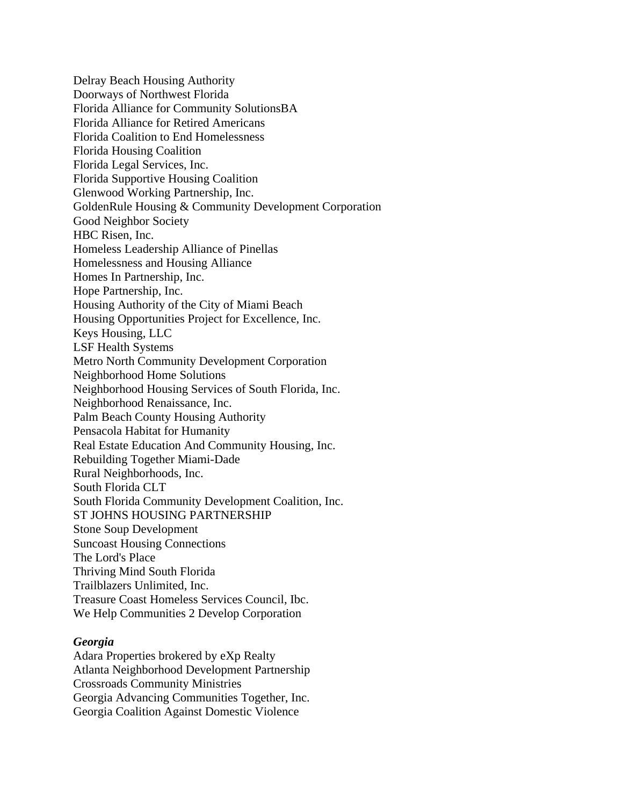Delray Beach Housing Authority Doorways of Northwest Florida Florida Alliance for Community SolutionsBA Florida Alliance for Retired Americans Florida Coalition to End Homelessness Florida Housing Coalition Florida Legal Services, Inc. Florida Supportive Housing Coalition Glenwood Working Partnership, Inc. GoldenRule Housing & Community Development Corporation Good Neighbor Society HBC Risen, Inc. Homeless Leadership Alliance of Pinellas Homelessness and Housing Alliance Homes In Partnership, Inc. Hope Partnership, Inc. Housing Authority of the City of Miami Beach Housing Opportunities Project for Excellence, Inc. Keys Housing, LLC LSF Health Systems Metro North Community Development Corporation Neighborhood Home Solutions Neighborhood Housing Services of South Florida, Inc. Neighborhood Renaissance, Inc. Palm Beach County Housing Authority Pensacola Habitat for Humanity Real Estate Education And Community Housing, Inc. Rebuilding Together Miami-Dade Rural Neighborhoods, Inc. South Florida CLT South Florida Community Development Coalition, Inc. ST JOHNS HOUSING PARTNERSHIP Stone Soup Development Suncoast Housing Connections The Lord's Place Thriving Mind South Florida Trailblazers Unlimited, Inc. Treasure Coast Homeless Services Council, Ibc. We Help Communities 2 Develop Corporation

#### *Georgia*

Adara Properties brokered by eXp Realty Atlanta Neighborhood Development Partnership Crossroads Community Ministries Georgia Advancing Communities Together, Inc. Georgia Coalition Against Domestic Violence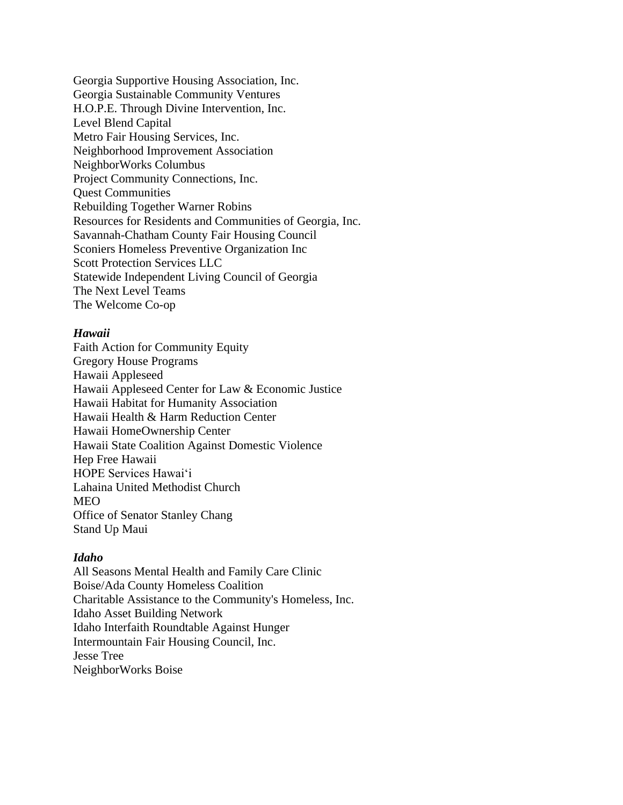Georgia Supportive Housing Association, Inc. Georgia Sustainable Community Ventures H.O.P.E. Through Divine Intervention, Inc. Level Blend Capital Metro Fair Housing Services, Inc. Neighborhood Improvement Association NeighborWorks Columbus Project Community Connections, Inc. Quest Communities Rebuilding Together Warner Robins Resources for Residents and Communities of Georgia, Inc. Savannah-Chatham County Fair Housing Council Sconiers Homeless Preventive Organization Inc Scott Protection Services LLC Statewide Independent Living Council of Georgia The Next Level Teams The Welcome Co-op

# *Hawaii*

Faith Action for Community Equity Gregory House Programs Hawaii Appleseed Hawaii Appleseed Center for Law & Economic Justice Hawaii Habitat for Humanity Association Hawaii Health & Harm Reduction Center Hawaii HomeOwnership Center Hawaii State Coalition Against Domestic Violence Hep Free Hawaii HOPE Services Hawaiʻi Lahaina United Methodist Church MEO Office of Senator Stanley Chang Stand Up Maui

# *Idaho*

All Seasons Mental Health and Family Care Clinic Boise/Ada County Homeless Coalition Charitable Assistance to the Community's Homeless, Inc. Idaho Asset Building Network Idaho Interfaith Roundtable Against Hunger Intermountain Fair Housing Council, Inc. Jesse Tree NeighborWorks Boise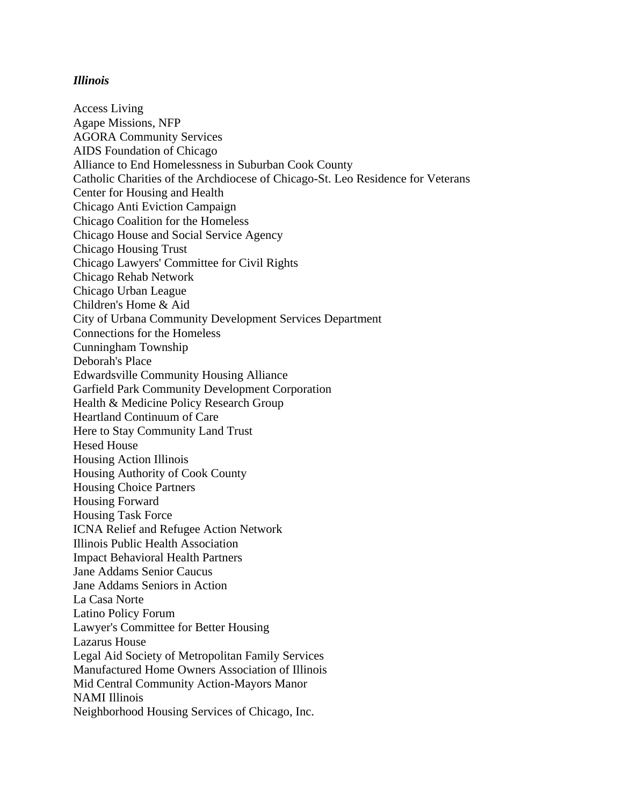# *Illinois*

Access Living Agape Missions, NFP AGORA Community Services AIDS Foundation of Chicago Alliance to End Homelessness in Suburban Cook County Catholic Charities of the Archdiocese of Chicago-St. Leo Residence for Veterans Center for Housing and Health Chicago Anti Eviction Campaign Chicago Coalition for the Homeless Chicago House and Social Service Agency Chicago Housing Trust Chicago Lawyers' Committee for Civil Rights Chicago Rehab Network Chicago Urban League Children's Home & Aid City of Urbana Community Development Services Department Connections for the Homeless Cunningham Township Deborah's Place Edwardsville Community Housing Alliance Garfield Park Community Development Corporation Health & Medicine Policy Research Group Heartland Continuum of Care Here to Stay Community Land Trust Hesed House Housing Action Illinois Housing Authority of Cook County Housing Choice Partners Housing Forward Housing Task Force ICNA Relief and Refugee Action Network Illinois Public Health Association Impact Behavioral Health Partners Jane Addams Senior Caucus Jane Addams Seniors in Action La Casa Norte Latino Policy Forum Lawyer's Committee for Better Housing Lazarus House Legal Aid Society of Metropolitan Family Services Manufactured Home Owners Association of Illinois Mid Central Community Action-Mayors Manor NAMI Illinois Neighborhood Housing Services of Chicago, Inc.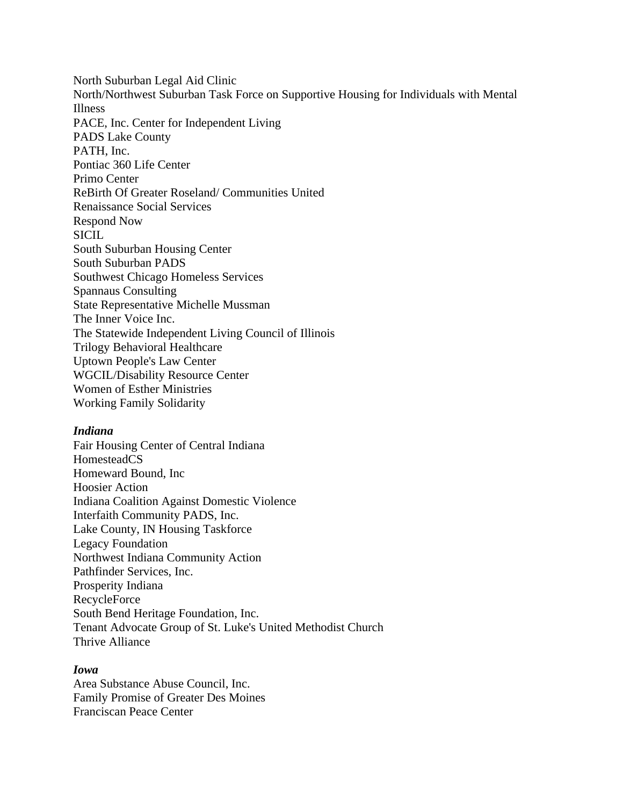North Suburban Legal Aid Clinic North/Northwest Suburban Task Force on Supportive Housing for Individuals with Mental Illness PACE, Inc. Center for Independent Living PADS Lake County PATH, Inc. Pontiac 360 Life Center Primo Center ReBirth Of Greater Roseland/ Communities United Renaissance Social Services Respond Now **SICIL** South Suburban Housing Center South Suburban PADS Southwest Chicago Homeless Services Spannaus Consulting State Representative Michelle Mussman The Inner Voice Inc. The Statewide Independent Living Council of Illinois Trilogy Behavioral Healthcare Uptown People's Law Center WGCIL/Disability Resource Center Women of Esther Ministries Working Family Solidarity

## *Indiana*

Fair Housing Center of Central Indiana HomesteadCS Homeward Bound, Inc Hoosier Action Indiana Coalition Against Domestic Violence Interfaith Community PADS, Inc. Lake County, IN Housing Taskforce Legacy Foundation Northwest Indiana Community Action Pathfinder Services, Inc. Prosperity Indiana RecycleForce South Bend Heritage Foundation, Inc. Tenant Advocate Group of St. Luke's United Methodist Church Thrive Alliance

# *Iowa*

Area Substance Abuse Council, Inc. Family Promise of Greater Des Moines Franciscan Peace Center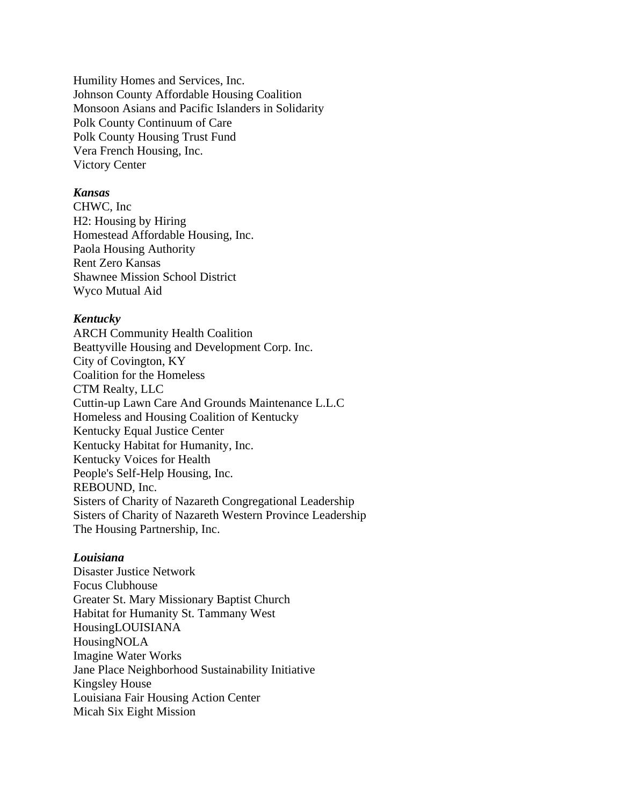Humility Homes and Services, Inc. Johnson County Affordable Housing Coalition Monsoon Asians and Pacific Islanders in Solidarity Polk County Continuum of Care Polk County Housing Trust Fund Vera French Housing, Inc. Victory Center

#### *Kansas*

CHWC, Inc H2: Housing by Hiring Homestead Affordable Housing, Inc. Paola Housing Authority Rent Zero Kansas Shawnee Mission School District Wyco Mutual Aid

#### *Kentucky*

ARCH Community Health Coalition Beattyville Housing and Development Corp. Inc. City of Covington, KY Coalition for the Homeless CTM Realty, LLC Cuttin-up Lawn Care And Grounds Maintenance L.L.C Homeless and Housing Coalition of Kentucky Kentucky Equal Justice Center Kentucky Habitat for Humanity, Inc. Kentucky Voices for Health People's Self-Help Housing, Inc. REBOUND, Inc. Sisters of Charity of Nazareth Congregational Leadership Sisters of Charity of Nazareth Western Province Leadership The Housing Partnership, Inc.

#### *Louisiana*

Disaster Justice Network Focus Clubhouse Greater St. Mary Missionary Baptist Church Habitat for Humanity St. Tammany West HousingLOUISIANA HousingNOLA Imagine Water Works Jane Place Neighborhood Sustainability Initiative Kingsley House Louisiana Fair Housing Action Center Micah Six Eight Mission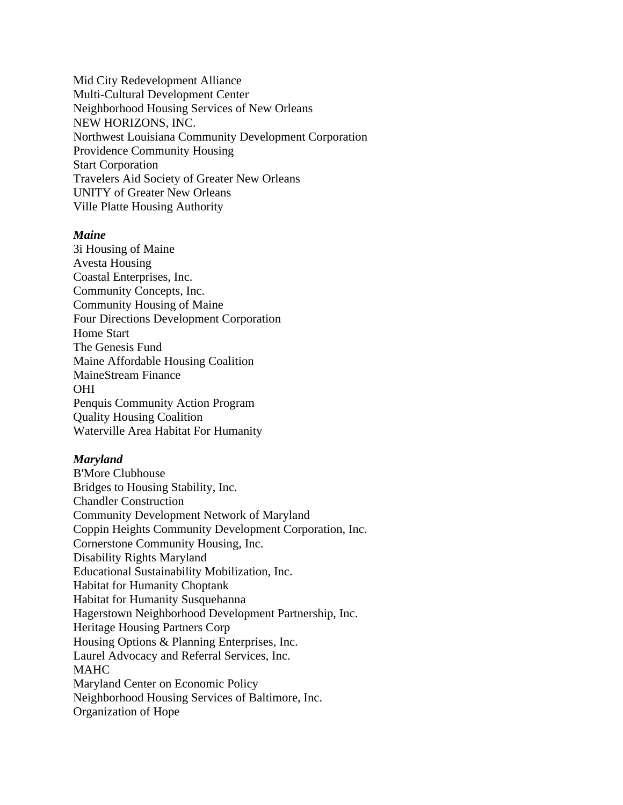Mid City Redevelopment Alliance Multi-Cultural Development Center Neighborhood Housing Services of New Orleans NEW HORIZONS, INC. Northwest Louisiana Community Development Corporation Providence Community Housing Start Corporation Travelers Aid Society of Greater New Orleans UNITY of Greater New Orleans Ville Platte Housing Authority

# *Maine*

3i Housing of Maine Avesta Housing Coastal Enterprises, Inc. Community Concepts, Inc. Community Housing of Maine Four Directions Development Corporation Home Start The Genesis Fund Maine Affordable Housing Coalition MaineStream Finance OHI Penquis Community Action Program Quality Housing Coalition Waterville Area Habitat For Humanity

#### *Maryland*

B'More Clubhouse Bridges to Housing Stability, Inc. Chandler Construction Community Development Network of Maryland Coppin Heights Community Development Corporation, Inc. Cornerstone Community Housing, Inc. Disability Rights Maryland Educational Sustainability Mobilization, Inc. Habitat for Humanity Choptank Habitat for Humanity Susquehanna Hagerstown Neighborhood Development Partnership, Inc. Heritage Housing Partners Corp Housing Options & Planning Enterprises, Inc. Laurel Advocacy and Referral Services, Inc. MAHC Maryland Center on Economic Policy Neighborhood Housing Services of Baltimore, Inc. Organization of Hope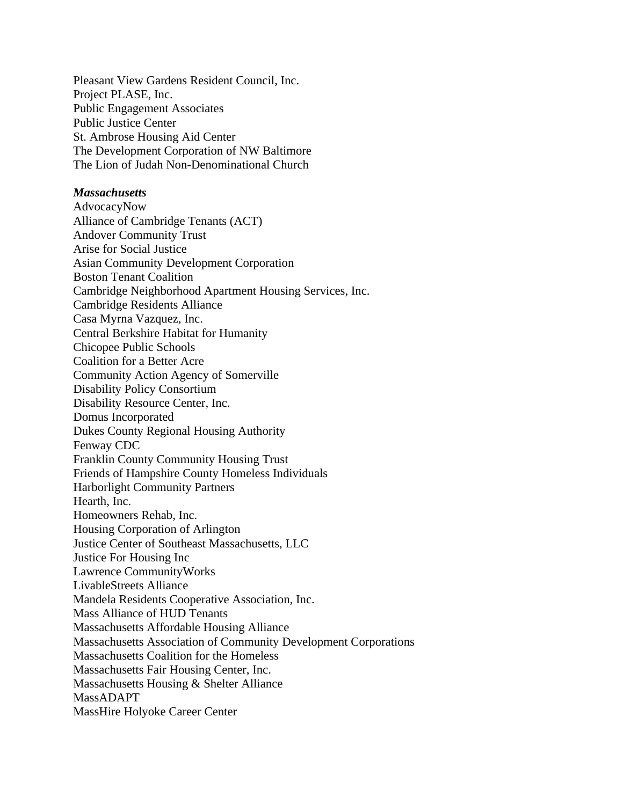Pleasant View Gardens Resident Council, Inc. Project PLASE, Inc. Public Engagement Associates Public Justice Center St. Ambrose Housing Aid Center The Development Corporation of NW Baltimore The Lion of Judah Non-Denominational Church

# *Massachusetts*

AdvocacyNow Alliance of Cambridge Tenants (ACT) Andover Community Trust Arise for Social Justice Asian Community Development Corporation Boston Tenant Coalition Cambridge Neighborhood Apartment Housing Services, Inc. Cambridge Residents Alliance Casa Myrna Vazquez, Inc. Central Berkshire Habitat for Humanity Chicopee Public Schools Coalition for a Better Acre Community Action Agency of Somerville Disability Policy Consortium Disability Resource Center, Inc. Domus Incorporated Dukes County Regional Housing Authority Fenway CDC Franklin County Community Housing Trust Friends of Hampshire County Homeless Individuals Harborlight Community Partners Hearth, Inc. Homeowners Rehab, Inc. Housing Corporation of Arlington Justice Center of Southeast Massachusetts, LLC Justice For Housing Inc Lawrence CommunityWorks LivableStreets Alliance Mandela Residents Cooperative Association, Inc. Mass Alliance of HUD Tenants Massachusetts Affordable Housing Alliance Massachusetts Association of Community Development Corporations Massachusetts Coalition for the Homeless Massachusetts Fair Housing Center, Inc. Massachusetts Housing & Shelter Alliance MassADAPT MassHire Holyoke Career Center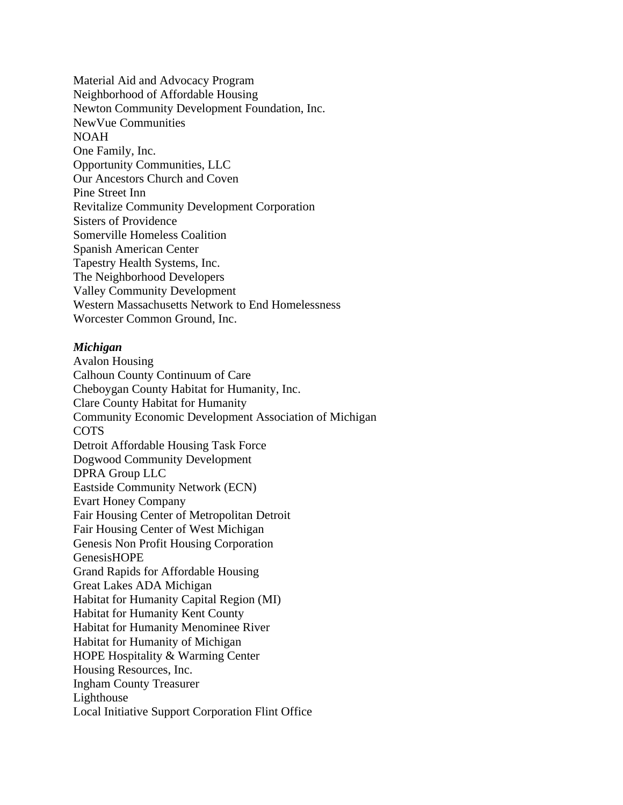Material Aid and Advocacy Program Neighborhood of Affordable Housing Newton Community Development Foundation, Inc. NewVue Communities NOAH One Family, Inc. Opportunity Communities, LLC Our Ancestors Church and Coven Pine Street Inn Revitalize Community Development Corporation Sisters of Providence Somerville Homeless Coalition Spanish American Center Tapestry Health Systems, Inc. The Neighborhood Developers Valley Community Development Western Massachusetts Network to End Homelessness Worcester Common Ground, Inc.

# *Michigan*

Avalon Housing Calhoun County Continuum of Care Cheboygan County Habitat for Humanity, Inc. Clare County Habitat for Humanity Community Economic Development Association of Michigan COTS Detroit Affordable Housing Task Force Dogwood Community Development DPRA Group LLC Eastside Community Network (ECN) Evart Honey Company Fair Housing Center of Metropolitan Detroit Fair Housing Center of West Michigan Genesis Non Profit Housing Corporation GenesisHOPE Grand Rapids for Affordable Housing Great Lakes ADA Michigan Habitat for Humanity Capital Region (MI) Habitat for Humanity Kent County Habitat for Humanity Menominee River Habitat for Humanity of Michigan HOPE Hospitality & Warming Center Housing Resources, Inc. Ingham County Treasurer Lighthouse Local Initiative Support Corporation Flint Office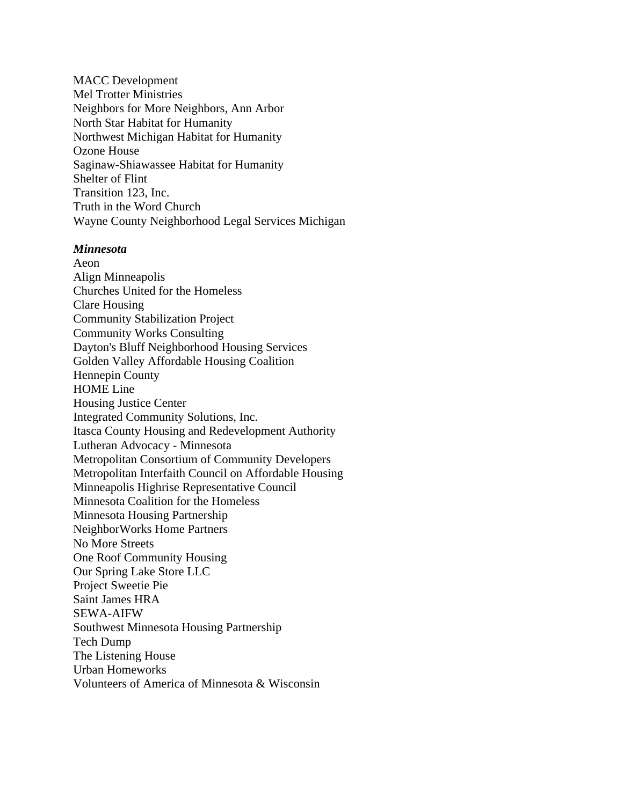MACC Development Mel Trotter Ministries Neighbors for More Neighbors, Ann Arbor North Star Habitat for Humanity Northwest Michigan Habitat for Humanity Ozone House Saginaw-Shiawassee Habitat for Humanity Shelter of Flint Transition 123, Inc. Truth in the Word Church Wayne County Neighborhood Legal Services Michigan

#### *Minnesota*

Aeon Align Minneapolis Churches United for the Homeless Clare Housing Community Stabilization Project Community Works Consulting Dayton's Bluff Neighborhood Housing Services Golden Valley Affordable Housing Coalition Hennepin County HOME Line Housing Justice Center Integrated Community Solutions, Inc. Itasca County Housing and Redevelopment Authority Lutheran Advocacy - Minnesota Metropolitan Consortium of Community Developers Metropolitan Interfaith Council on Affordable Housing Minneapolis Highrise Representative Council Minnesota Coalition for the Homeless Minnesota Housing Partnership NeighborWorks Home Partners No More Streets One Roof Community Housing Our Spring Lake Store LLC Project Sweetie Pie Saint James HRA SEWA-AIFW Southwest Minnesota Housing Partnership Tech Dump The Listening House Urban Homeworks Volunteers of America of Minnesota & Wisconsin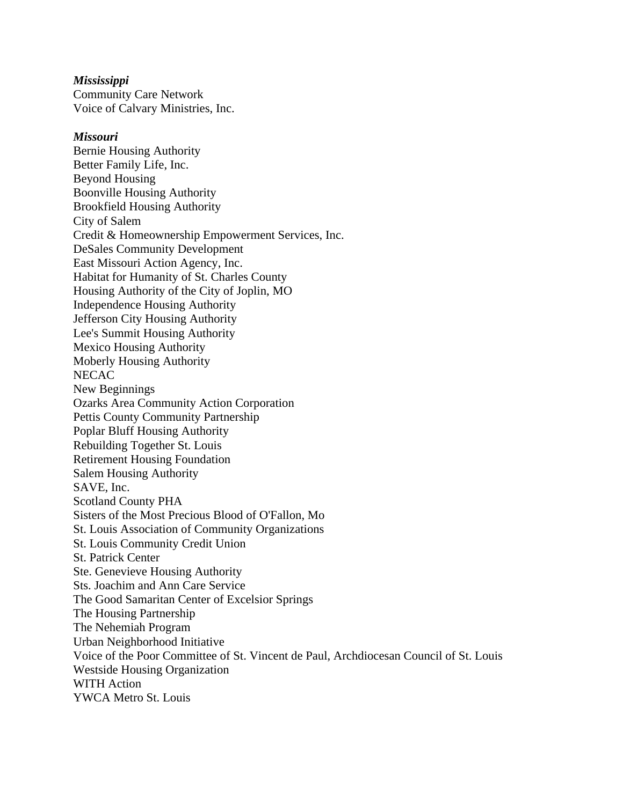## *Mississippi*

Community Care Network Voice of Calvary Ministries, Inc.

# *Missouri*

Bernie Housing Authority Better Family Life, Inc. Beyond Housing Boonville Housing Authority Brookfield Housing Authority City of Salem Credit & Homeownership Empowerment Services, Inc. DeSales Community Development East Missouri Action Agency, Inc. Habitat for Humanity of St. Charles County Housing Authority of the City of Joplin, MO Independence Housing Authority Jefferson City Housing Authority Lee's Summit Housing Authority Mexico Housing Authority Moberly Housing Authority **NECAC** New Beginnings Ozarks Area Community Action Corporation Pettis County Community Partnership Poplar Bluff Housing Authority Rebuilding Together St. Louis Retirement Housing Foundation Salem Housing Authority SAVE, Inc. Scotland County PHA Sisters of the Most Precious Blood of O'Fallon, Mo St. Louis Association of Community Organizations St. Louis Community Credit Union St. Patrick Center Ste. Genevieve Housing Authority Sts. Joachim and Ann Care Service The Good Samaritan Center of Excelsior Springs The Housing Partnership The Nehemiah Program Urban Neighborhood Initiative Voice of the Poor Committee of St. Vincent de Paul, Archdiocesan Council of St. Louis Westside Housing Organization WITH Action YWCA Metro St. Louis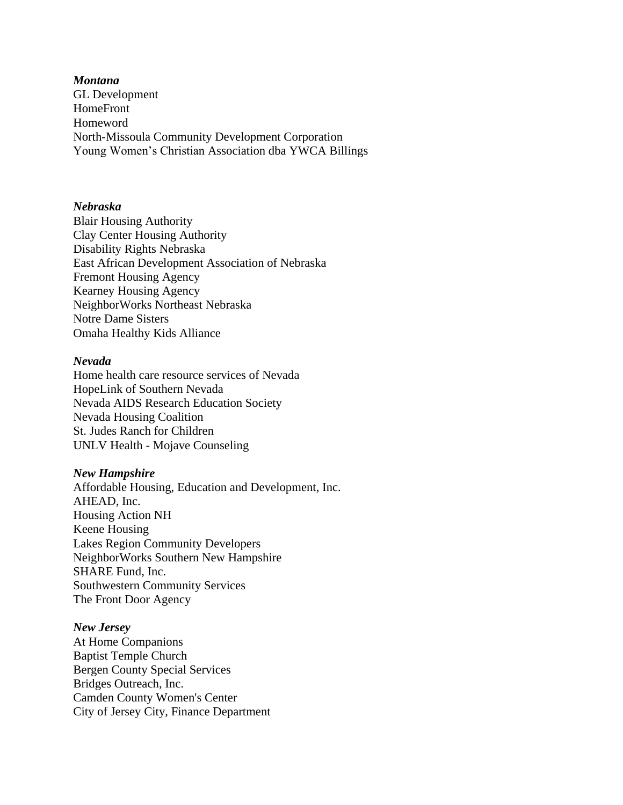#### *Montana*

GL Development HomeFront Homeword North-Missoula Community Development Corporation Young Women's Christian Association dba YWCA Billings

# *Nebraska*

Blair Housing Authority Clay Center Housing Authority Disability Rights Nebraska East African Development Association of Nebraska Fremont Housing Agency Kearney Housing Agency NeighborWorks Northeast Nebraska Notre Dame Sisters Omaha Healthy Kids Alliance

#### *Nevada*

Home health care resource services of Nevada HopeLink of Southern Nevada Nevada AIDS Research Education Society Nevada Housing Coalition St. Judes Ranch for Children UNLV Health - Mojave Counseling

#### *New Hampshire*

Affordable Housing, Education and Development, Inc. AHEAD, Inc. Housing Action NH Keene Housing Lakes Region Community Developers NeighborWorks Southern New Hampshire SHARE Fund, Inc. Southwestern Community Services The Front Door Agency

#### *New Jersey*

At Home Companions Baptist Temple Church Bergen County Special Services Bridges Outreach, Inc. Camden County Women's Center City of Jersey City, Finance Department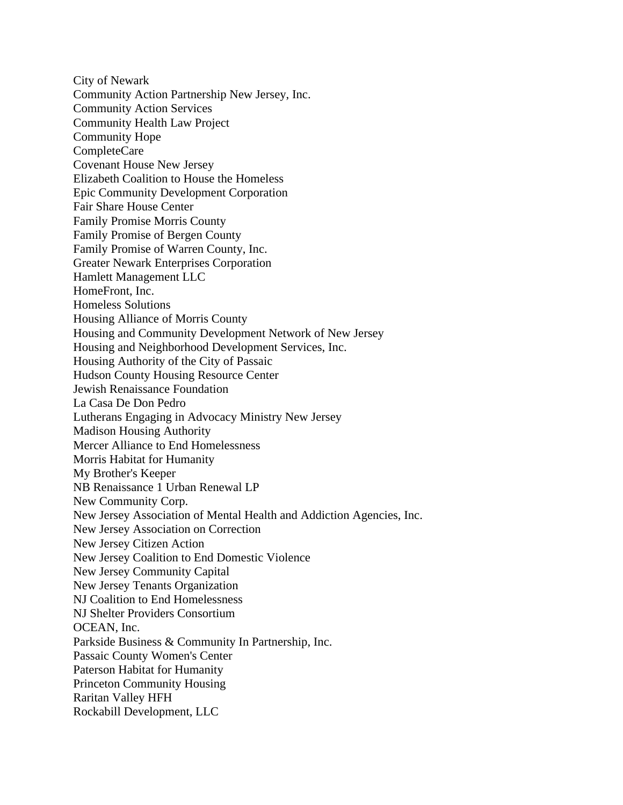City of Newark Community Action Partnership New Jersey, Inc. Community Action Services Community Health Law Project Community Hope CompleteCare Covenant House New Jersey Elizabeth Coalition to House the Homeless Epic Community Development Corporation Fair Share House Center Family Promise Morris County Family Promise of Bergen County Family Promise of Warren County, Inc. Greater Newark Enterprises Corporation Hamlett Management LLC HomeFront, Inc. Homeless Solutions Housing Alliance of Morris County Housing and Community Development Network of New Jersey Housing and Neighborhood Development Services, Inc. Housing Authority of the City of Passaic Hudson County Housing Resource Center Jewish Renaissance Foundation La Casa De Don Pedro Lutherans Engaging in Advocacy Ministry New Jersey Madison Housing Authority Mercer Alliance to End Homelessness Morris Habitat for Humanity My Brother's Keeper NB Renaissance 1 Urban Renewal LP New Community Corp. New Jersey Association of Mental Health and Addiction Agencies, Inc. New Jersey Association on Correction New Jersey Citizen Action New Jersey Coalition to End Domestic Violence New Jersey Community Capital New Jersey Tenants Organization NJ Coalition to End Homelessness NJ Shelter Providers Consortium OCEAN, Inc. Parkside Business & Community In Partnership, Inc. Passaic County Women's Center Paterson Habitat for Humanity Princeton Community Housing Raritan Valley HFH Rockabill Development, LLC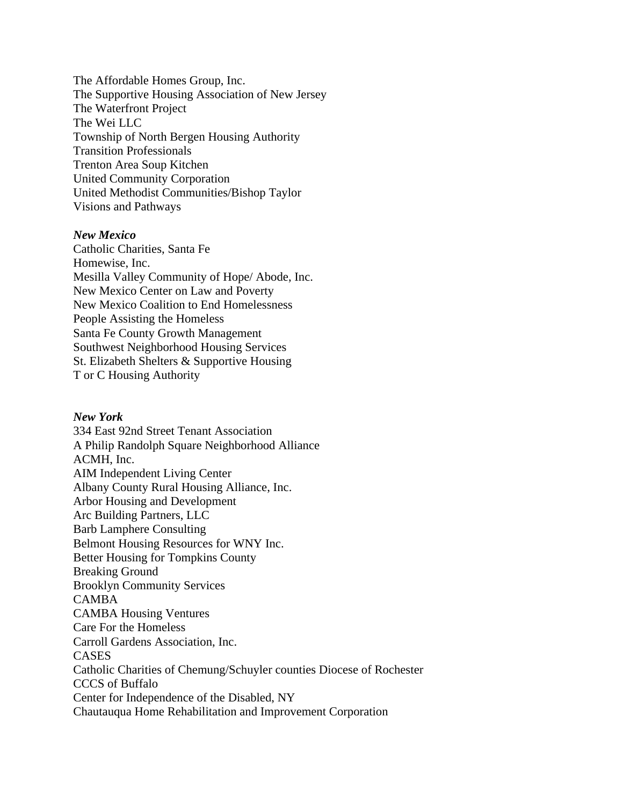The Affordable Homes Group, Inc. The Supportive Housing Association of New Jersey The Waterfront Project The Wei LLC Township of North Bergen Housing Authority Transition Professionals Trenton Area Soup Kitchen United Community Corporation United Methodist Communities/Bishop Taylor Visions and Pathways

# *New Mexico*

Catholic Charities, Santa Fe Homewise, Inc. Mesilla Valley Community of Hope/ Abode, Inc. New Mexico Center on Law and Poverty New Mexico Coalition to End Homelessness People Assisting the Homeless Santa Fe County Growth Management Southwest Neighborhood Housing Services St. Elizabeth Shelters & Supportive Housing T or C Housing Authority

# *New York*

334 East 92nd Street Tenant Association A Philip Randolph Square Neighborhood Alliance ACMH, Inc. AIM Independent Living Center Albany County Rural Housing Alliance, Inc. Arbor Housing and Development Arc Building Partners, LLC Barb Lamphere Consulting Belmont Housing Resources for WNY Inc. Better Housing for Tompkins County Breaking Ground Brooklyn Community Services CAMBA CAMBA Housing Ventures Care For the Homeless Carroll Gardens Association, Inc. CASES Catholic Charities of Chemung/Schuyler counties Diocese of Rochester CCCS of Buffalo Center for Independence of the Disabled, NY Chautauqua Home Rehabilitation and Improvement Corporation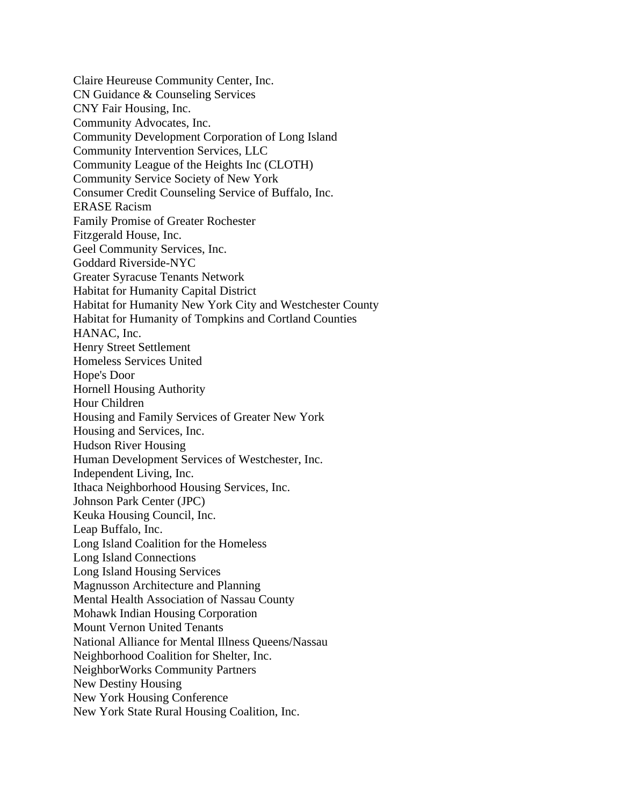Claire Heureuse Community Center, Inc. CN Guidance & Counseling Services CNY Fair Housing, Inc. Community Advocates, Inc. Community Development Corporation of Long Island Community Intervention Services, LLC Community League of the Heights Inc (CLOTH) Community Service Society of New York Consumer Credit Counseling Service of Buffalo, Inc. ERASE Racism Family Promise of Greater Rochester Fitzgerald House, Inc. Geel Community Services, Inc. Goddard Riverside-NYC Greater Syracuse Tenants Network Habitat for Humanity Capital District Habitat for Humanity New York City and Westchester County Habitat for Humanity of Tompkins and Cortland Counties HANAC, Inc. Henry Street Settlement Homeless Services United Hope's Door Hornell Housing Authority Hour Children Housing and Family Services of Greater New York Housing and Services, Inc. Hudson River Housing Human Development Services of Westchester, Inc. Independent Living, Inc. Ithaca Neighborhood Housing Services, Inc. Johnson Park Center (JPC) Keuka Housing Council, Inc. Leap Buffalo, Inc. Long Island Coalition for the Homeless Long Island Connections Long Island Housing Services Magnusson Architecture and Planning Mental Health Association of Nassau County Mohawk Indian Housing Corporation Mount Vernon United Tenants National Alliance for Mental Illness Queens/Nassau Neighborhood Coalition for Shelter, Inc. NeighborWorks Community Partners New Destiny Housing New York Housing Conference New York State Rural Housing Coalition, Inc.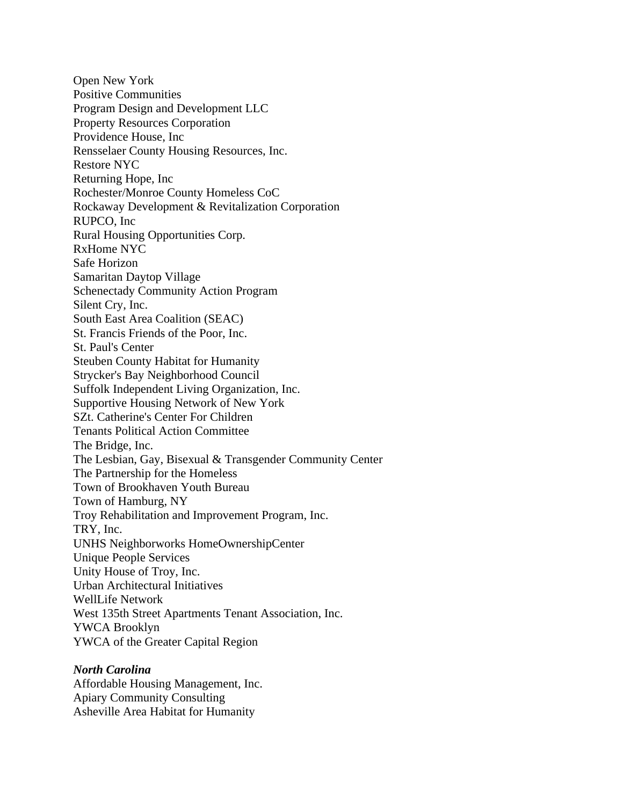Open New York Positive Communities Program Design and Development LLC Property Resources Corporation Providence House, Inc Rensselaer County Housing Resources, Inc. Restore NYC Returning Hope, Inc Rochester/Monroe County Homeless CoC Rockaway Development & Revitalization Corporation RUPCO, Inc Rural Housing Opportunities Corp. RxHome NYC Safe Horizon Samaritan Daytop Village Schenectady Community Action Program Silent Cry, Inc. South East Area Coalition (SEAC) St. Francis Friends of the Poor, Inc. St. Paul's Center Steuben County Habitat for Humanity Strycker's Bay Neighborhood Council Suffolk Independent Living Organization, Inc. Supportive Housing Network of New York SZt. Catherine's Center For Children Tenants Political Action Committee The Bridge, Inc. The Lesbian, Gay, Bisexual & Transgender Community Center The Partnership for the Homeless Town of Brookhaven Youth Bureau Town of Hamburg, NY Troy Rehabilitation and Improvement Program, Inc. TRY, Inc. UNHS Neighborworks HomeOwnershipCenter Unique People Services Unity House of Troy, Inc. Urban Architectural Initiatives WellLife Network West 135th Street Apartments Tenant Association, Inc. YWCA Brooklyn YWCA of the Greater Capital Region

#### *North Carolina*

Affordable Housing Management, Inc. Apiary Community Consulting Asheville Area Habitat for Humanity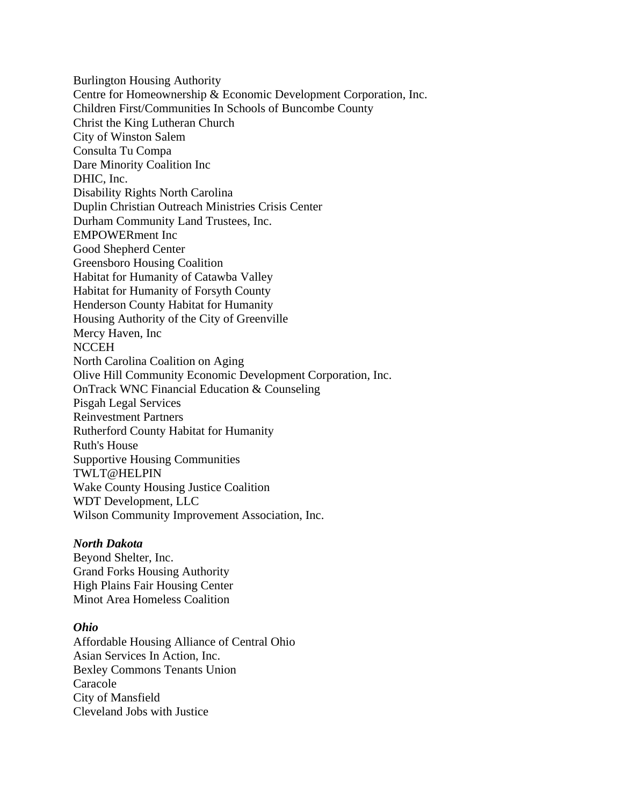Burlington Housing Authority Centre for Homeownership & Economic Development Corporation, Inc. Children First/Communities In Schools of Buncombe County Christ the King Lutheran Church City of Winston Salem Consulta Tu Compa Dare Minority Coalition Inc DHIC, Inc. Disability Rights North Carolina Duplin Christian Outreach Ministries Crisis Center Durham Community Land Trustees, Inc. EMPOWERment Inc Good Shepherd Center Greensboro Housing Coalition Habitat for Humanity of Catawba Valley Habitat for Humanity of Forsyth County Henderson County Habitat for Humanity Housing Authority of the City of Greenville Mercy Haven, Inc **NCCEH** North Carolina Coalition on Aging Olive Hill Community Economic Development Corporation, Inc. OnTrack WNC Financial Education & Counseling Pisgah Legal Services Reinvestment Partners Rutherford County Habitat for Humanity Ruth's House Supportive Housing Communities TWLT@HELPIN Wake County Housing Justice Coalition WDT Development, LLC Wilson Community Improvement Association, Inc.

# *North Dakota*

Beyond Shelter, Inc. Grand Forks Housing Authority High Plains Fair Housing Center Minot Area Homeless Coalition

#### *Ohio*

Affordable Housing Alliance of Central Ohio Asian Services In Action, Inc. Bexley Commons Tenants Union Caracole City of Mansfield Cleveland Jobs with Justice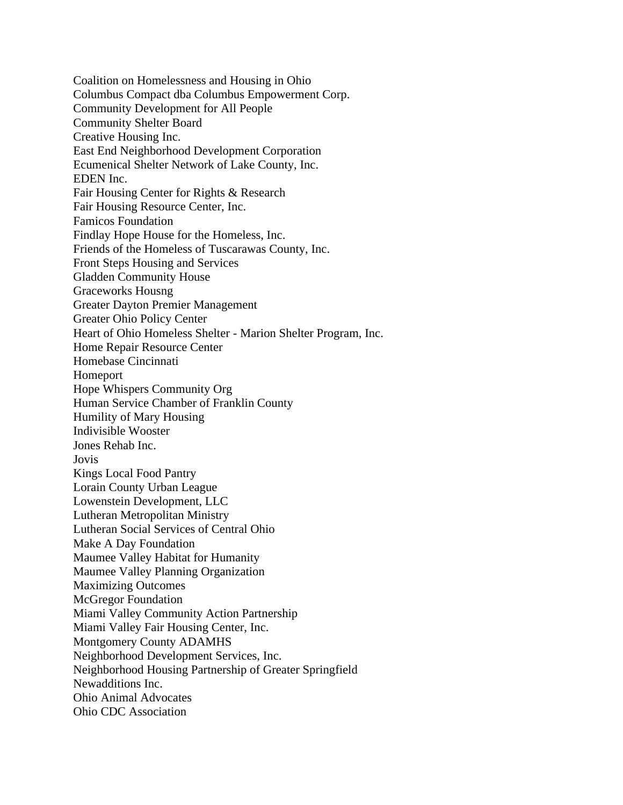Coalition on Homelessness and Housing in Ohio Columbus Compact dba Columbus Empowerment Corp. Community Development for All People Community Shelter Board Creative Housing Inc. East End Neighborhood Development Corporation Ecumenical Shelter Network of Lake County, Inc. EDEN Inc. Fair Housing Center for Rights & Research Fair Housing Resource Center, Inc. Famicos Foundation Findlay Hope House for the Homeless, Inc. Friends of the Homeless of Tuscarawas County, Inc. Front Steps Housing and Services Gladden Community House Graceworks Housng Greater Dayton Premier Management Greater Ohio Policy Center Heart of Ohio Homeless Shelter - Marion Shelter Program, Inc. Home Repair Resource Center Homebase Cincinnati Homeport Hope Whispers Community Org Human Service Chamber of Franklin County Humility of Mary Housing Indivisible Wooster Jones Rehab Inc. Jovis Kings Local Food Pantry Lorain County Urban League Lowenstein Development, LLC Lutheran Metropolitan Ministry Lutheran Social Services of Central Ohio Make A Day Foundation Maumee Valley Habitat for Humanity Maumee Valley Planning Organization Maximizing Outcomes McGregor Foundation Miami Valley Community Action Partnership Miami Valley Fair Housing Center, Inc. Montgomery County ADAMHS Neighborhood Development Services, Inc. Neighborhood Housing Partnership of Greater Springfield Newadditions Inc. Ohio Animal Advocates Ohio CDC Association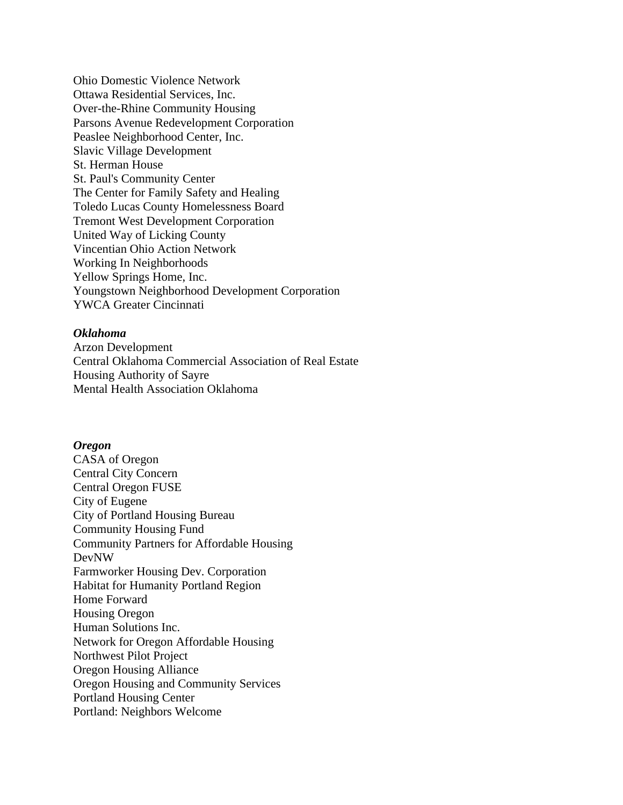Ohio Domestic Violence Network Ottawa Residential Services, Inc. Over-the-Rhine Community Housing Parsons Avenue Redevelopment Corporation Peaslee Neighborhood Center, Inc. Slavic Village Development St. Herman House St. Paul's Community Center The Center for Family Safety and Healing Toledo Lucas County Homelessness Board Tremont West Development Corporation United Way of Licking County Vincentian Ohio Action Network Working In Neighborhoods Yellow Springs Home, Inc. Youngstown Neighborhood Development Corporation YWCA Greater Cincinnati

# *Oklahoma*

Arzon Development Central Oklahoma Commercial Association of Real Estate Housing Authority of Sayre Mental Health Association Oklahoma

#### *Oregon*

CASA of Oregon Central City Concern Central Oregon FUSE City of Eugene City of Portland Housing Bureau Community Housing Fund Community Partners for Affordable Housing DevNW Farmworker Housing Dev. Corporation Habitat for Humanity Portland Region Home Forward Housing Oregon Human Solutions Inc. Network for Oregon Affordable Housing Northwest Pilot Project Oregon Housing Alliance Oregon Housing and Community Services Portland Housing Center Portland: Neighbors Welcome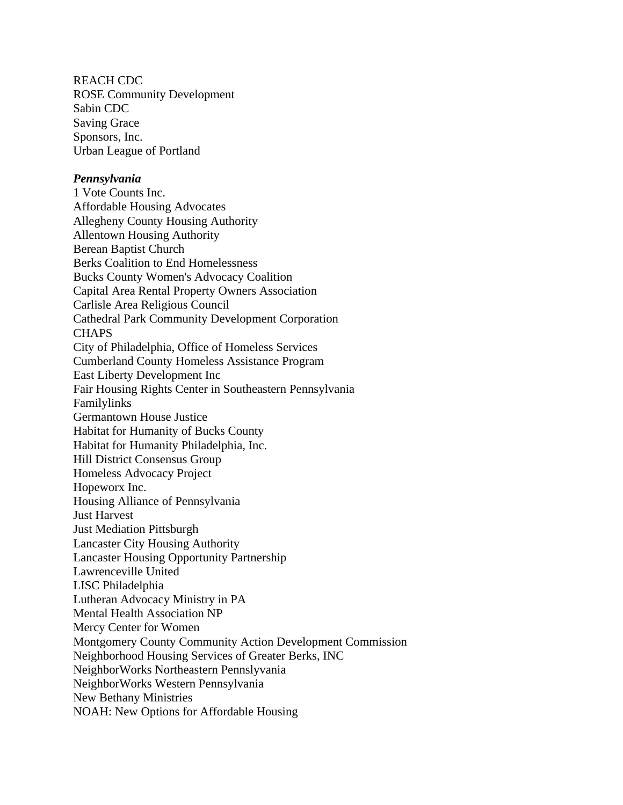REACH CDC ROSE Community Development Sabin CDC Saving Grace Sponsors, Inc. Urban League of Portland

#### *Pennsylvania*

1 Vote Counts Inc. Affordable Housing Advocates Allegheny County Housing Authority Allentown Housing Authority Berean Baptist Church Berks Coalition to End Homelessness Bucks County Women's Advocacy Coalition Capital Area Rental Property Owners Association Carlisle Area Religious Council Cathedral Park Community Development Corporation **CHAPS** City of Philadelphia, Office of Homeless Services Cumberland County Homeless Assistance Program East Liberty Development Inc Fair Housing Rights Center in Southeastern Pennsylvania Familylinks Germantown House Justice Habitat for Humanity of Bucks County Habitat for Humanity Philadelphia, Inc. Hill District Consensus Group Homeless Advocacy Project Hopeworx Inc. Housing Alliance of Pennsylvania Just Harvest Just Mediation Pittsburgh Lancaster City Housing Authority Lancaster Housing Opportunity Partnership Lawrenceville United LISC Philadelphia Lutheran Advocacy Ministry in PA Mental Health Association NP Mercy Center for Women Montgomery County Community Action Development Commission Neighborhood Housing Services of Greater Berks, INC NeighborWorks Northeastern Pennslyvania NeighborWorks Western Pennsylvania New Bethany Ministries NOAH: New Options for Affordable Housing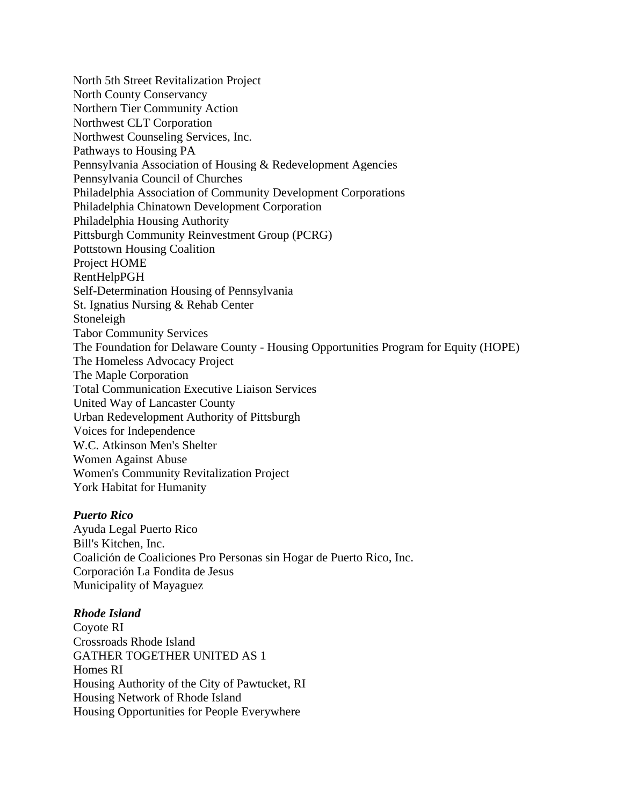North 5th Street Revitalization Project North County Conservancy Northern Tier Community Action Northwest CLT Corporation Northwest Counseling Services, Inc. Pathways to Housing PA Pennsylvania Association of Housing & Redevelopment Agencies Pennsylvania Council of Churches Philadelphia Association of Community Development Corporations Philadelphia Chinatown Development Corporation Philadelphia Housing Authority Pittsburgh Community Reinvestment Group (PCRG) Pottstown Housing Coalition Project HOME RentHelpPGH Self-Determination Housing of Pennsylvania St. Ignatius Nursing & Rehab Center Stoneleigh Tabor Community Services The Foundation for Delaware County - Housing Opportunities Program for Equity (HOPE) The Homeless Advocacy Project The Maple Corporation Total Communication Executive Liaison Services United Way of Lancaster County Urban Redevelopment Authority of Pittsburgh Voices for Independence W.C. Atkinson Men's Shelter Women Against Abuse Women's Community Revitalization Project York Habitat for Humanity

# *Puerto Rico*

Ayuda Legal Puerto Rico Bill's Kitchen, Inc. Coalición de Coaliciones Pro Personas sin Hogar de Puerto Rico, Inc. Corporación La Fondita de Jesus Municipality of Mayaguez

# *Rhode Island*

Coyote RI Crossroads Rhode Island GATHER TOGETHER UNITED AS 1 Homes RI Housing Authority of the City of Pawtucket, RI Housing Network of Rhode Island Housing Opportunities for People Everywhere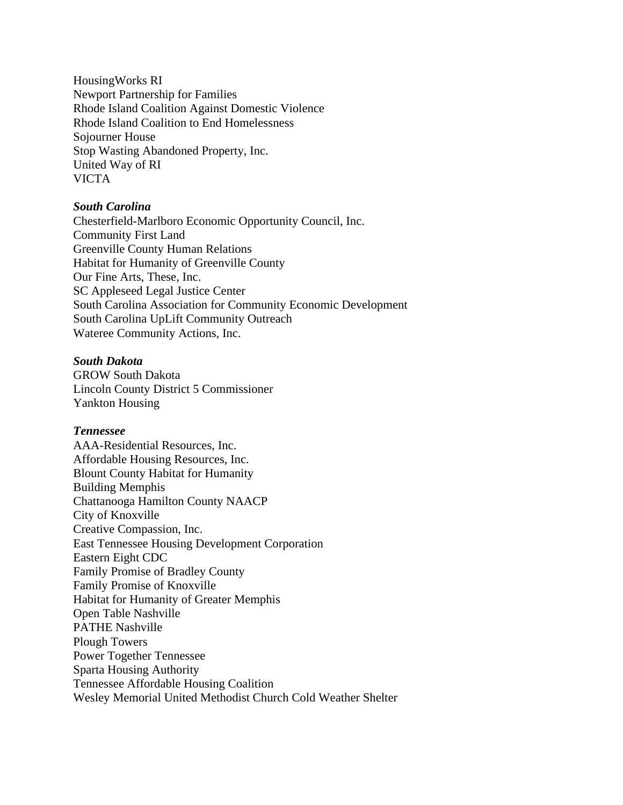HousingWorks RI Newport Partnership for Families Rhode Island Coalition Against Domestic Violence Rhode Island Coalition to End Homelessness Sojourner House Stop Wasting Abandoned Property, Inc. United Way of RI VICTA

# *South Carolina*

Chesterfield-Marlboro Economic Opportunity Council, Inc. Community First Land Greenville County Human Relations Habitat for Humanity of Greenville County Our Fine Arts, These, Inc. SC Appleseed Legal Justice Center South Carolina Association for Community Economic Development South Carolina UpLift Community Outreach Wateree Community Actions, Inc.

# *South Dakota*

GROW South Dakota Lincoln County District 5 Commissioner Yankton Housing

# *Tennessee*

AAA-Residential Resources, Inc. Affordable Housing Resources, Inc. Blount County Habitat for Humanity Building Memphis Chattanooga Hamilton County NAACP City of Knoxville Creative Compassion, Inc. East Tennessee Housing Development Corporation Eastern Eight CDC Family Promise of Bradley County Family Promise of Knoxville Habitat for Humanity of Greater Memphis Open Table Nashville PATHE Nashville Plough Towers Power Together Tennessee Sparta Housing Authority Tennessee Affordable Housing Coalition Wesley Memorial United Methodist Church Cold Weather Shelter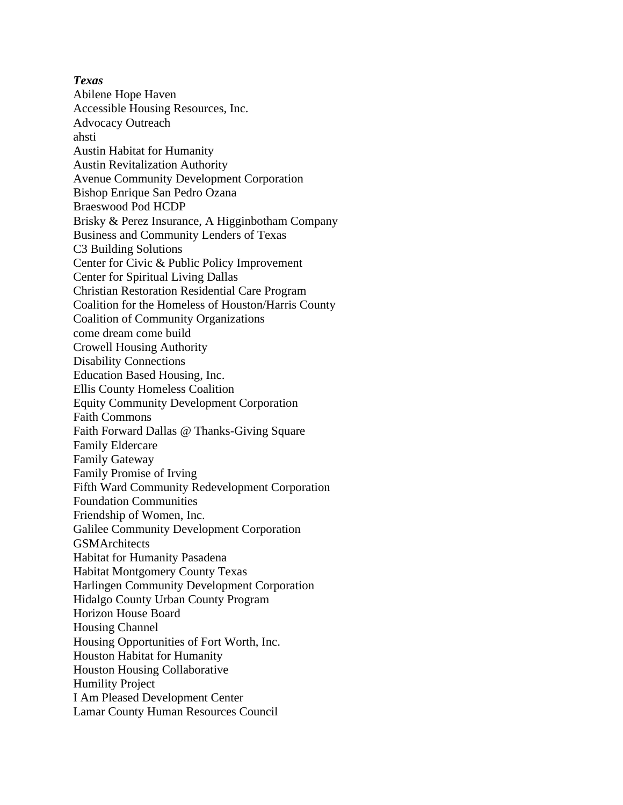*Texas* Abilene Hope Haven Accessible Housing Resources, Inc. Advocacy Outreach ahsti Austin Habitat for Humanity Austin Revitalization Authority Avenue Community Development Corporation Bishop Enrique San Pedro Ozana Braeswood Pod HCDP Brisky & Perez Insurance, A Higginbotham Company Business and Community Lenders of Texas C3 Building Solutions Center for Civic & Public Policy Improvement Center for Spiritual Living Dallas Christian Restoration Residential Care Program Coalition for the Homeless of Houston/Harris County Coalition of Community Organizations come dream come build Crowell Housing Authority Disability Connections Education Based Housing, Inc. Ellis County Homeless Coalition Equity Community Development Corporation Faith Commons Faith Forward Dallas @ Thanks-Giving Square Family Eldercare Family Gateway Family Promise of Irving Fifth Ward Community Redevelopment Corporation Foundation Communities Friendship of Women, Inc. Galilee Community Development Corporation **GSMArchitects** Habitat for Humanity Pasadena Habitat Montgomery County Texas Harlingen Community Development Corporation Hidalgo County Urban County Program Horizon House Board Housing Channel Housing Opportunities of Fort Worth, Inc. Houston Habitat for Humanity Houston Housing Collaborative Humility Project I Am Pleased Development Center Lamar County Human Resources Council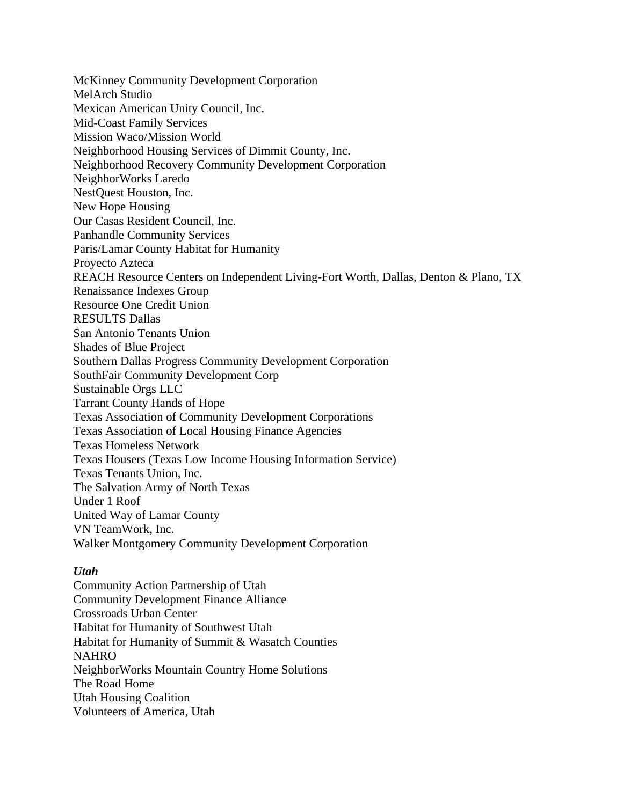McKinney Community Development Corporation MelArch Studio Mexican American Unity Council, Inc. Mid-Coast Family Services Mission Waco/Mission World Neighborhood Housing Services of Dimmit County, Inc. Neighborhood Recovery Community Development Corporation NeighborWorks Laredo NestQuest Houston, Inc. New Hope Housing Our Casas Resident Council, Inc. Panhandle Community Services Paris/Lamar County Habitat for Humanity Proyecto Azteca REACH Resource Centers on Independent Living-Fort Worth, Dallas, Denton & Plano, TX Renaissance Indexes Group Resource One Credit Union RESULTS Dallas San Antonio Tenants Union Shades of Blue Project Southern Dallas Progress Community Development Corporation SouthFair Community Development Corp Sustainable Orgs LLC Tarrant County Hands of Hope Texas Association of Community Development Corporations Texas Association of Local Housing Finance Agencies Texas Homeless Network Texas Housers (Texas Low Income Housing Information Service) Texas Tenants Union, Inc. The Salvation Army of North Texas Under 1 Roof United Way of Lamar County VN TeamWork, Inc. Walker Montgomery Community Development Corporation

# *Utah*

Community Action Partnership of Utah Community Development Finance Alliance Crossroads Urban Center Habitat for Humanity of Southwest Utah Habitat for Humanity of Summit & Wasatch Counties NAHRO NeighborWorks Mountain Country Home Solutions The Road Home Utah Housing Coalition Volunteers of America, Utah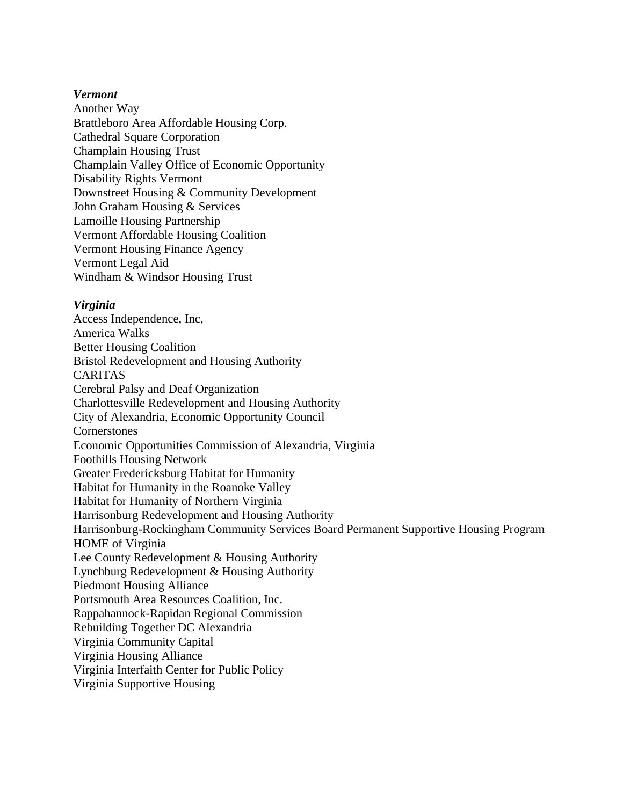#### *Vermont*

Another Way Brattleboro Area Affordable Housing Corp. Cathedral Square Corporation Champlain Housing Trust Champlain Valley Office of Economic Opportunity Disability Rights Vermont Downstreet Housing & Community Development John Graham Housing & Services Lamoille Housing Partnership Vermont Affordable Housing Coalition Vermont Housing Finance Agency Vermont Legal Aid Windham & Windsor Housing Trust

# *Virginia*

Access Independence, Inc, America Walks Better Housing Coalition Bristol Redevelopment and Housing Authority CARITAS Cerebral Palsy and Deaf Organization Charlottesville Redevelopment and Housing Authority City of Alexandria, Economic Opportunity Council **Cornerstones** Economic Opportunities Commission of Alexandria, Virginia Foothills Housing Network Greater Fredericksburg Habitat for Humanity Habitat for Humanity in the Roanoke Valley Habitat for Humanity of Northern Virginia Harrisonburg Redevelopment and Housing Authority Harrisonburg-Rockingham Community Services Board Permanent Supportive Housing Program HOME of Virginia Lee County Redevelopment & Housing Authority Lynchburg Redevelopment & Housing Authority Piedmont Housing Alliance Portsmouth Area Resources Coalition, Inc. Rappahannock-Rapidan Regional Commission Rebuilding Together DC Alexandria Virginia Community Capital Virginia Housing Alliance Virginia Interfaith Center for Public Policy Virginia Supportive Housing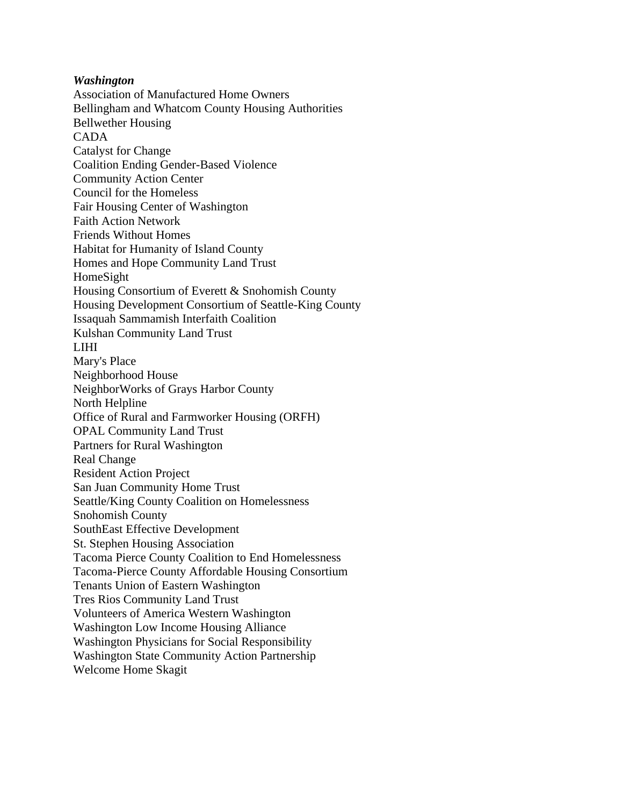#### *Washington*

Association of Manufactured Home Owners Bellingham and Whatcom County Housing Authorities Bellwether Housing CADA Catalyst for Change Coalition Ending Gender-Based Violence Community Action Center Council for the Homeless Fair Housing Center of Washington Faith Action Network Friends Without Homes Habitat for Humanity of Island County Homes and Hope Community Land Trust HomeSight Housing Consortium of Everett & Snohomish County Housing Development Consortium of Seattle-King County Issaquah Sammamish Interfaith Coalition Kulshan Community Land Trust LIHI Mary's Place Neighborhood House NeighborWorks of Grays Harbor County North Helpline Office of Rural and Farmworker Housing (ORFH) OPAL Community Land Trust Partners for Rural Washington Real Change Resident Action Project San Juan Community Home Trust Seattle/King County Coalition on Homelessness Snohomish County SouthEast Effective Development St. Stephen Housing Association Tacoma Pierce County Coalition to End Homelessness Tacoma-Pierce County Affordable Housing Consortium Tenants Union of Eastern Washington Tres Rios Community Land Trust Volunteers of America Western Washington Washington Low Income Housing Alliance Washington Physicians for Social Responsibility Washington State Community Action Partnership Welcome Home Skagit